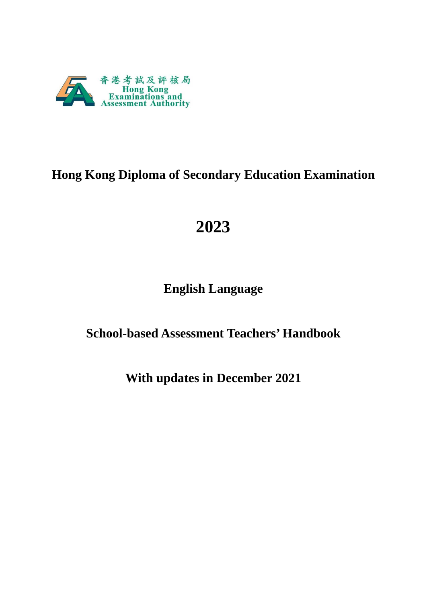

# **Hong Kong Diploma of Secondary Education Examination**

# **2023**

# **English Language**

# **School-based Assessment Teachers' Handbook**

# **With updates in December 2021**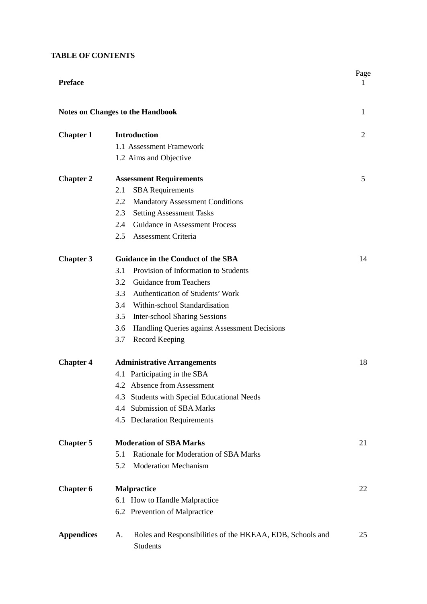# **TABLE OF CONTENTS**

| <b>Preface</b>    |                                                                                    | Page<br>1      |
|-------------------|------------------------------------------------------------------------------------|----------------|
|                   | <b>Notes on Changes to the Handbook</b>                                            | 1              |
| <b>Chapter 1</b>  | <b>Introduction</b>                                                                | $\overline{2}$ |
|                   | 1.1 Assessment Framework                                                           |                |
|                   | 1.2 Aims and Objective                                                             |                |
| <b>Chapter 2</b>  | <b>Assessment Requirements</b>                                                     | 5              |
|                   | <b>SBA</b> Requirements<br>2.1                                                     |                |
|                   | <b>Mandatory Assessment Conditions</b><br>2.2                                      |                |
|                   | <b>Setting Assessment Tasks</b><br>2.3                                             |                |
|                   | Guidance in Assessment Process<br>2.4                                              |                |
|                   | 2.5<br><b>Assessment Criteria</b>                                                  |                |
| <b>Chapter 3</b>  | <b>Guidance in the Conduct of the SBA</b>                                          | 14             |
|                   | Provision of Information to Students<br>3.1                                        |                |
|                   | <b>Guidance from Teachers</b><br>3.2                                               |                |
|                   | Authentication of Students' Work<br>3.3                                            |                |
|                   | Within-school Standardisation<br>3.4                                               |                |
|                   | 3.5<br><b>Inter-school Sharing Sessions</b>                                        |                |
|                   | 3.6<br>Handling Queries against Assessment Decisions                               |                |
|                   | Record Keeping<br>3.7                                                              |                |
| <b>Chapter 4</b>  | <b>Administrative Arrangements</b>                                                 | 18             |
|                   | 4.1 Participating in the SBA                                                       |                |
|                   | 4.2 Absence from Assessment                                                        |                |
|                   | 4.3 Students with Special Educational Needs                                        |                |
|                   | <b>Submission of SBA Marks</b><br>4.4                                              |                |
|                   | 4.5 Declaration Requirements                                                       |                |
| <b>Chapter 5</b>  | <b>Moderation of SBA Marks</b>                                                     | 21             |
|                   | Rationale for Moderation of SBA Marks<br>5.1                                       |                |
|                   | <b>Moderation Mechanism</b><br>5.2                                                 |                |
| <b>Chapter 6</b>  | <b>Malpractice</b>                                                                 | 22             |
|                   | 6.1 How to Handle Malpractice                                                      |                |
|                   | 6.2 Prevention of Malpractice                                                      |                |
| <b>Appendices</b> | Roles and Responsibilities of the HKEAA, EDB, Schools and<br>A.<br><b>Students</b> | 25             |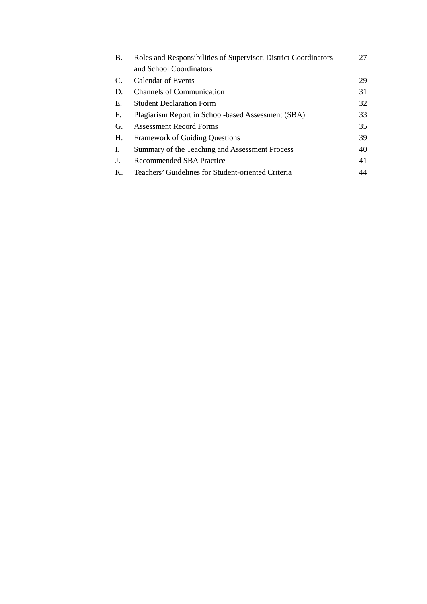| B. | Roles and Responsibilities of Supervisor, District Coordinators |    |
|----|-----------------------------------------------------------------|----|
|    | and School Coordinators                                         |    |
| C. | <b>Calendar of Events</b>                                       | 29 |
| D. | <b>Channels of Communication</b>                                | 31 |
| Е. | <b>Student Declaration Form</b>                                 | 32 |
| F. | Plagiarism Report in School-based Assessment (SBA)              | 33 |
| G. | <b>Assessment Record Forms</b>                                  | 35 |
| Н. | <b>Framework of Guiding Questions</b>                           | 39 |
| Ι. | Summary of the Teaching and Assessment Process                  | 40 |
| J. | Recommended SBA Practice                                        | 41 |
| К. | Teachers' Guidelines for Student-oriented Criteria              | 44 |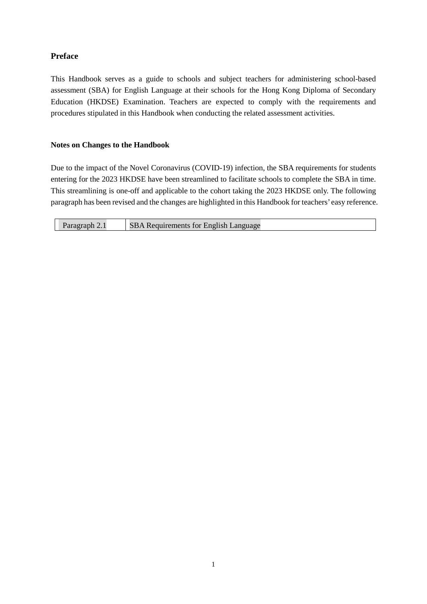# **Preface**

This Handbook serves as a guide to schools and subject teachers for administering school-based assessment (SBA) for English Language at their schools for the Hong Kong Diploma of Secondary Education (HKDSE) Examination. Teachers are expected to comply with the requirements and procedures stipulated in this Handbook when conducting the related assessment activities.

# **Notes on Changes to the Handbook**

Due to the impact of the Novel Coronavirus (COVID-19) infection, the SBA requirements for students entering for the 2023 HKDSE have been streamlined to facilitate schools to complete the SBA in time. This streamlining is one-off and applicable to the cohort taking the 2023 HKDSE only. The following paragraph has been revised and the changes are highlighted in this Handbook for teachers' easy reference.

| Paragraph 2.1 | <b>SBA Requirements for English Language</b> |
|---------------|----------------------------------------------|
|---------------|----------------------------------------------|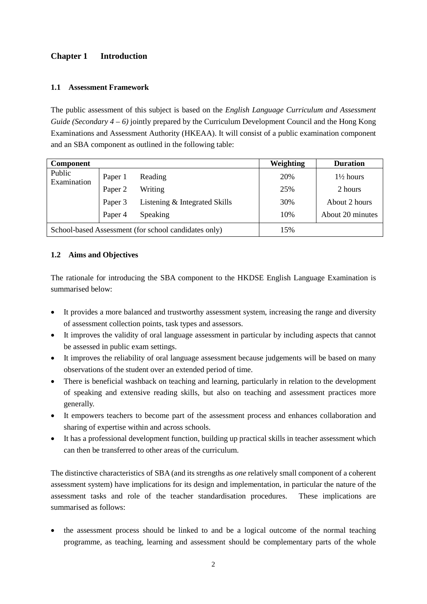# **Chapter 1 Introduction**

# **1.1 Assessment Framework**

The public assessment of this subject is based on the *English Language Curriculum and Assessment Guide (Secondary 4 – 6)* jointly prepared by the Curriculum Development Council and the Hong Kong Examinations and Assessment Authority (HKEAA). It will consist of a public examination component and an SBA component as outlined in the following table:

| <b>Component</b>                                     |         |                               | <b>Weighting</b> | <b>Duration</b>      |
|------------------------------------------------------|---------|-------------------------------|------------------|----------------------|
| Public<br>Examination                                | Paper 1 | Reading                       | 20%              | $1\frac{1}{2}$ hours |
|                                                      | Paper 2 | Writing                       | 25%              | 2 hours              |
|                                                      | Paper 3 | Listening & Integrated Skills | 30%              | About 2 hours        |
|                                                      | Paper 4 | Speaking                      | 10%              | About 20 minutes     |
| School-based Assessment (for school candidates only) |         |                               | 15%              |                      |

# **1.2 Aims and Objectives**

The rationale for introducing the SBA component to the HKDSE English Language Examination is summarised below:

- It provides a more balanced and trustworthy assessment system, increasing the range and diversity of assessment collection points, task types and assessors.
- It improves the validity of oral language assessment in particular by including aspects that cannot be assessed in public exam settings.
- It improves the reliability of oral language assessment because judgements will be based on many observations of the student over an extended period of time.
- There is beneficial washback on teaching and learning, particularly in relation to the development of speaking and extensive reading skills, but also on teaching and assessment practices more generally.
- It empowers teachers to become part of the assessment process and enhances collaboration and sharing of expertise within and across schools.
- It has a professional development function, building up practical skills in teacher assessment which can then be transferred to other areas of the curriculum.

The distinctive characteristics of SBA (and its strengths as *one* relatively small component of a coherent assessment system) have implications for its design and implementation, in particular the nature of the assessment tasks and role of the teacher standardisation procedures. These implications are summarised as follows:

• the assessment process should be linked to and be a logical outcome of the normal teaching programme, as teaching, learning and assessment should be complementary parts of the whole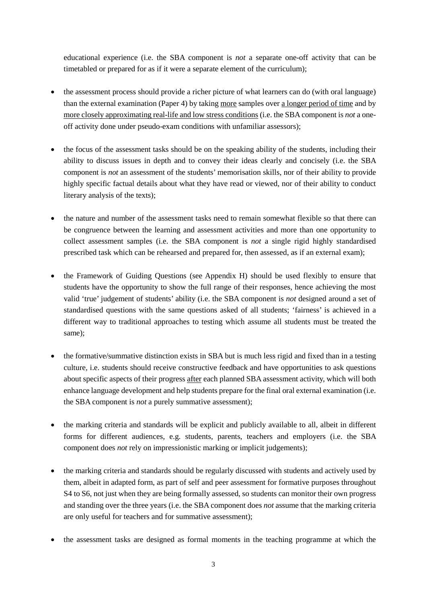educational experience (i.e. the SBA component is *not* a separate one-off activity that can be timetabled or prepared for as if it were a separate element of the curriculum);

- the assessment process should provide a richer picture of what learners can do (with oral language) than the external examination (Paper 4) by taking more samples over a longer period of time and by more closely approximating real-life and low stress conditions (i.e. the SBA component is *not* a oneoff activity done under pseudo-exam conditions with unfamiliar assessors);
- the focus of the assessment tasks should be on the speaking ability of the students, including their ability to discuss issues in depth and to convey their ideas clearly and concisely (i.e. the SBA component is *not* an assessment of the students' memorisation skills, nor of their ability to provide highly specific factual details about what they have read or viewed, nor of their ability to conduct literary analysis of the texts);
- the nature and number of the assessment tasks need to remain somewhat flexible so that there can be congruence between the learning and assessment activities and more than one opportunity to collect assessment samples (i.e. the SBA component is *not* a single rigid highly standardised prescribed task which can be rehearsed and prepared for, then assessed, as if an external exam);
- the Framework of Guiding Questions (see Appendix H) should be used flexibly to ensure that students have the opportunity to show the full range of their responses, hence achieving the most valid 'true' judgement of students' ability (i.e. the SBA component is *not* designed around a set of standardised questions with the same questions asked of all students; 'fairness' is achieved in a different way to traditional approaches to testing which assume all students must be treated the same);
- the formative/summative distinction exists in SBA but is much less rigid and fixed than in a testing culture, i.e. students should receive constructive feedback and have opportunities to ask questions about specific aspects of their progress after each planned SBA assessment activity, which will both enhance language development and help students prepare for the final oral external examination (i.e. the SBA component is *not* a purely summative assessment);
- the marking criteria and standards will be explicit and publicly available to all, albeit in different forms for different audiences, e.g. students, parents, teachers and employers (i.e. the SBA component does *not* rely on impressionistic marking or implicit judgements);
- the marking criteria and standards should be regularly discussed with students and actively used by them, albeit in adapted form, as part of self and peer assessment for formative purposes throughout S4 to S6, not just when they are being formally assessed, so students can monitor their own progress and standing over the three years (i.e. the SBA component does *not* assume that the marking criteria are only useful for teachers and for summative assessment);
- the assessment tasks are designed as formal moments in the teaching programme at which the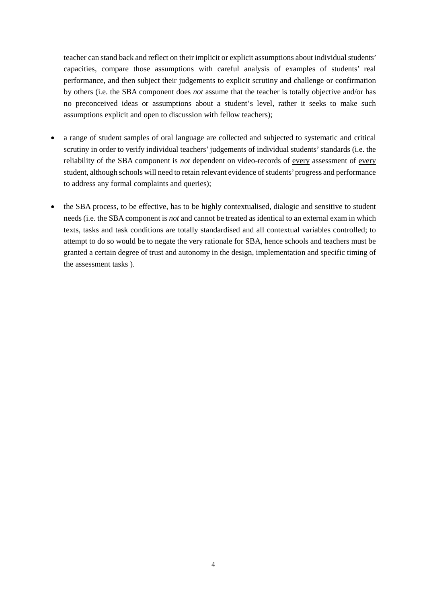teacher can stand back and reflect on their implicit or explicit assumptions about individual students' capacities, compare those assumptions with careful analysis of examples of students' real performance, and then subject their judgements to explicit scrutiny and challenge or confirmation by others (i.e. the SBA component does *not* assume that the teacher is totally objective and/or has no preconceived ideas or assumptions about a student's level, rather it seeks to make such assumptions explicit and open to discussion with fellow teachers);

- a range of student samples of oral language are collected and subjected to systematic and critical scrutiny in order to verify individual teachers' judgements of individual students' standards (i.e. the reliability of the SBA component is *not* dependent on video-records of every assessment of every student, although schools will need to retain relevant evidence of students' progress and performance to address any formal complaints and queries);
- the SBA process, to be effective, has to be highly contextualised, dialogic and sensitive to student needs (i.e. the SBA component is *not* and cannot be treated as identical to an external exam in which texts, tasks and task conditions are totally standardised and all contextual variables controlled; to attempt to do so would be to negate the very rationale for SBA, hence schools and teachers must be granted a certain degree of trust and autonomy in the design, implementation and specific timing of the assessment tasks ).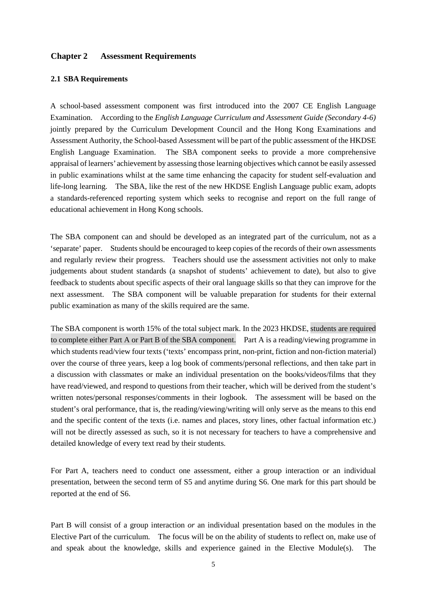# **Chapter 2 Assessment Requirements**

### **2.1 SBA Requirements**

A school-based assessment component was first introduced into the 2007 CE English Language Examination. According to the *English Language Curriculum and Assessment Guide (Secondary 4-6)* jointly prepared by the Curriculum Development Council and the Hong Kong Examinations and Assessment Authority, the School-based Assessment will be part of the public assessment of the HKDSE English Language Examination. The SBA component seeks to provide a more comprehensive appraisal of learners' achievement by assessing those learning objectives which cannot be easily assessed in public examinations whilst at the same time enhancing the capacity for student self-evaluation and life-long learning. The SBA, like the rest of the new HKDSE English Language public exam, adopts a standards-referenced reporting system which seeks to recognise and report on the full range of educational achievement in Hong Kong schools.

The SBA component can and should be developed as an integrated part of the curriculum, not as a 'separate' paper. Students should be encouraged to keep copies of the records of their own assessments and regularly review their progress. Teachers should use the assessment activities not only to make judgements about student standards (a snapshot of students' achievement to date), but also to give feedback to students about specific aspects of their oral language skills so that they can improve for the next assessment. The SBA component will be valuable preparation for students for their external public examination as many of the skills required are the same.

The SBA component is worth 15% of the total subject mark. In the 2023 HKDSE, students are required to complete either Part A or Part B of the SBA component. Part A is a reading/viewing programme in which students read/view four texts ('texts' encompass print, non-print, fiction and non-fiction material) over the course of three years, keep a log book of comments/personal reflections, and then take part in a discussion with classmates or make an individual presentation on the books/videos/films that they have read/viewed, and respond to questions from their teacher, which will be derived from the student's written notes/personal responses/comments in their logbook. The assessment will be based on the student's oral performance, that is, the reading/viewing/writing will only serve as the means to this end and the specific content of the texts (i.e. names and places, story lines, other factual information etc.) will not be directly assessed as such, so it is not necessary for teachers to have a comprehensive and detailed knowledge of every text read by their students.

For Part A, teachers need to conduct one assessment, either a group interaction or an individual presentation, between the second term of S5 and anytime during S6. One mark for this part should be reported at the end of S6.

Part B will consist of a group interaction *or* an individual presentation based on the modules in the Elective Part of the curriculum. The focus will be on the ability of students to reflect on, make use of and speak about the knowledge, skills and experience gained in the Elective Module(s). The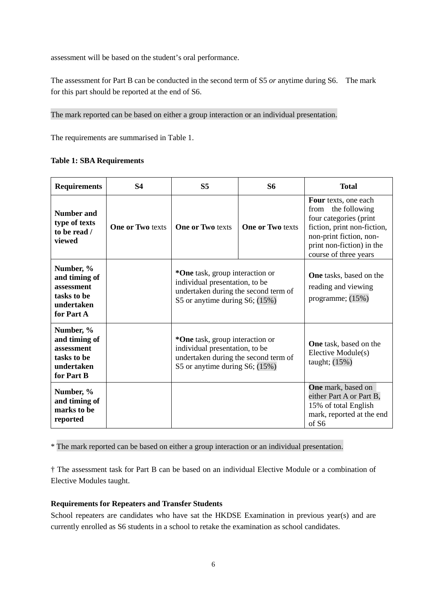assessment will be based on the student's oral performance.

The assessment for Part B can be conducted in the second term of S5 *or* anytime during S6. The mark for this part should be reported at the end of S6.

The mark reported can be based on either a group interaction or an individual presentation.

The requirements are summarised in Table 1.

**Table 1: SBA Requirements** 

| <b>Requirements</b>                                                                 | <b>S4</b>               | S <sub>5</sub>                                                                                                                                | S6                      | <b>Total</b>                                                                                                                                                                            |
|-------------------------------------------------------------------------------------|-------------------------|-----------------------------------------------------------------------------------------------------------------------------------------------|-------------------------|-----------------------------------------------------------------------------------------------------------------------------------------------------------------------------------------|
| Number and<br>type of texts<br>to be read /<br>viewed                               | <b>One or Two texts</b> | <b>One or Two texts</b>                                                                                                                       | <b>One or Two texts</b> | Four texts, one each<br>the following<br>from<br>four categories (print<br>fiction, print non-fiction,<br>non-print fiction, non-<br>print non-fiction) in the<br>course of three years |
| Number, %<br>and timing of<br>assessment<br>tasks to be<br>undertaken<br>for Part A |                         | *One task, group interaction or<br>individual presentation, to be<br>undertaken during the second term of<br>S5 or anytime during S6; $(15%)$ |                         | <b>One</b> tasks, based on the<br>reading and viewing<br>programme; $(15%)$                                                                                                             |
| Number, %<br>and timing of<br>assessment<br>tasks to be<br>undertaken<br>for Part B |                         | *One task, group interaction or<br>individual presentation, to be<br>undertaken during the second term of<br>S5 or anytime during S6; $(15%)$ |                         | <b>One</b> task, based on the<br>Elective Module(s)<br>taught; $(15%)$                                                                                                                  |
| Number, %<br>and timing of<br>marks to be<br>reported                               |                         |                                                                                                                                               |                         | <b>One</b> mark, based on<br>either Part A or Part B,<br>15% of total English<br>mark, reported at the end<br>of S6                                                                     |

\* The mark reported can be based on either a group interaction or an individual presentation.

† The assessment task for Part B can be based on an individual Elective Module or a combination of Elective Modules taught.

### **Requirements for Repeaters and Transfer Students**

School repeaters are candidates who have sat the HKDSE Examination in previous year(s) and are currently enrolled as S6 students in a school to retake the examination as school candidates.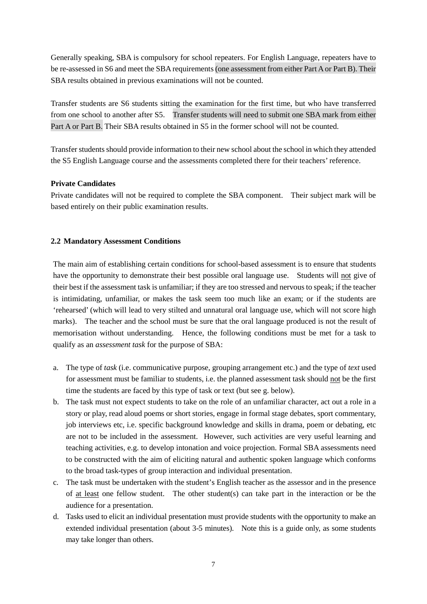Generally speaking, SBA is compulsory for school repeaters. For English Language, repeaters have to be re-assessed in S6 and meet the SBA requirements (one assessment from either Part A or Part B). Their SBA results obtained in previous examinations will not be counted.

Transfer students are S6 students sitting the examination for the first time, but who have transferred from one school to another after S5. Transfer students will need to submit one SBA mark from either Part A or Part B. Their SBA results obtained in S5 in the former school will not be counted.

Transfer students should provide information to their new school about the school in which they attended the S5 English Language course and the assessments completed there for their teachers' reference.

# **Private Candidates**

Private candidates will not be required to complete the SBA component. Their subject mark will be based entirely on their public examination results.

# **2.2 Mandatory Assessment Conditions**

The main aim of establishing certain conditions for school-based assessment is to ensure that students have the opportunity to demonstrate their best possible oral language use. Students will not give of their best if the assessment task is unfamiliar; if they are too stressed and nervous to speak; if the teacher is intimidating, unfamiliar, or makes the task seem too much like an exam; or if the students are 'rehearsed' (which will lead to very stilted and unnatural oral language use, which will not score high marks). The teacher and the school must be sure that the oral language produced is not the result of memorisation without understanding. Hence, the following conditions must be met for a task to qualify as an *assessment task* for the purpose of SBA:

- a. The type of *task* (i.e. communicative purpose, grouping arrangement etc.) and the type of *text* used for assessment must be familiar to students, i.e. the planned assessment task should not be the first time the students are faced by this type of task or text (but see g. below).
- b. The task must not expect students to take on the role of an unfamiliar character, act out a role in a story or play, read aloud poems or short stories, engage in formal stage debates, sport commentary, job interviews etc, i.e. specific background knowledge and skills in drama, poem or debating, etc are not to be included in the assessment. However, such activities are very useful learning and teaching activities, e.g. to develop intonation and voice projection. Formal SBA assessments need to be constructed with the aim of eliciting natural and authentic spoken language which conforms to the broad task-types of group interaction and individual presentation.
- c. The task must be undertaken with the student's English teacher as the assessor and in the presence of at least one fellow student. The other student(s) can take part in the interaction or be the audience for a presentation.
- d. Tasks used to elicit an individual presentation must provide students with the opportunity to make an extended individual presentation (about 3-5 minutes). Note this is a guide only, as some students may take longer than others.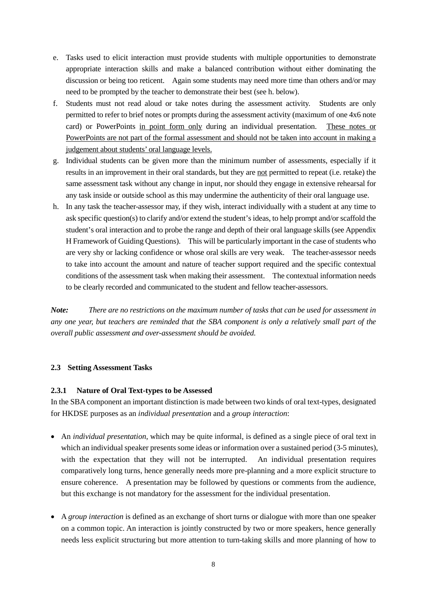- e. Tasks used to elicit interaction must provide students with multiple opportunities to demonstrate appropriate interaction skills and make a balanced contribution without either dominating the discussion or being too reticent. Again some students may need more time than others and/or may need to be prompted by the teacher to demonstrate their best (see h. below).
- f. Students must not read aloud or take notes during the assessment activity. Students are only permitted to refer to brief notes or prompts during the assessment activity (maximum of one 4x6 note card) or PowerPoints in point form only during an individual presentation. These notes or PowerPoints are not part of the formal assessment and should not be taken into account in making a judgement about students' oral language levels.
- g. Individual students can be given more than the minimum number of assessments, especially if it results in an improvement in their oral standards, but they are not permitted to repeat (i.e. retake) the same assessment task without any change in input, nor should they engage in extensive rehearsal for any task inside or outside school as this may undermine the authenticity of their oral language use.
- h. In any task the teacher-assessor may, if they wish, interact individually with a student at any time to ask specific question(s) to clarify and/or extend the student's ideas, to help prompt and/or scaffold the student's oral interaction and to probe the range and depth of their oral language skills (see Appendix H Framework of Guiding Questions). This will be particularly important in the case of students who are very shy or lacking confidence or whose oral skills are very weak. The teacher-assessor needs to take into account the amount and nature of teacher support required and the specific contextual conditions of the assessment task when making their assessment. The contextual information needs to be clearly recorded and communicated to the student and fellow teacher-assessors.

*Note: There are no restrictions on the maximum number of tasks that can be used for assessment in any one year, but teachers are reminded that the SBA component is only a relatively small part of the overall public assessment and over-assessment should be avoided.*

# **2.3 Setting Assessment Tasks**

### **2.3.1 Nature of Oral Text-types to be Assessed**

In the SBA component an important distinction is made between two kinds of oral text-types, designated for HKDSE purposes as an *individual presentation* and a *group interaction*:

- An *individual presentation*, which may be quite informal, is defined as a single piece of oral text in which an individual speaker presents some ideas or information over a sustained period (3-5 minutes), with the expectation that they will not be interrupted. An individual presentation requires comparatively long turns, hence generally needs more pre-planning and a more explicit structure to ensure coherence. A presentation may be followed by questions or comments from the audience, but this exchange is not mandatory for the assessment for the individual presentation.
- A *group interaction* is defined as an exchange of short turns or dialogue with more than one speaker on a common topic. An interaction is jointly constructed by two or more speakers, hence generally needs less explicit structuring but more attention to turn-taking skills and more planning of how to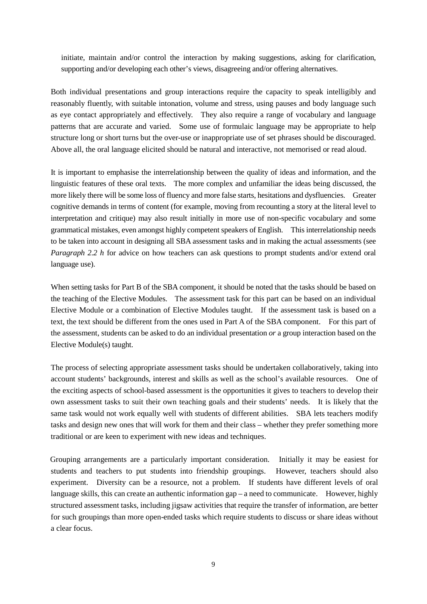initiate, maintain and/or control the interaction by making suggestions, asking for clarification, supporting and/or developing each other's views, disagreeing and/or offering alternatives.

Both individual presentations and group interactions require the capacity to speak intelligibly and reasonably fluently, with suitable intonation, volume and stress, using pauses and body language such as eye contact appropriately and effectively. They also require a range of vocabulary and language patterns that are accurate and varied. Some use of formulaic language may be appropriate to help structure long or short turns but the over-use or inappropriate use of set phrases should be discouraged. Above all, the oral language elicited should be natural and interactive, not memorised or read aloud.

It is important to emphasise the interrelationship between the quality of ideas and information, and the linguistic features of these oral texts. The more complex and unfamiliar the ideas being discussed, the more likely there will be some loss of fluency and more false starts, hesitations and dysfluencies. Greater cognitive demands in terms of content (for example, moving from recounting a story at the literal level to interpretation and critique) may also result initially in more use of non-specific vocabulary and some grammatical mistakes, even amongst highly competent speakers of English. This interrelationship needs to be taken into account in designing all SBA assessment tasks and in making the actual assessments (see *Paragraph 2.2 h* for advice on how teachers can ask questions to prompt students and/or extend oral language use).

When setting tasks for Part B of the SBA component, it should be noted that the tasks should be based on the teaching of the Elective Modules. The assessment task for this part can be based on an individual Elective Module or a combination of Elective Modules taught. If the assessment task is based on a text, the text should be different from the ones used in Part A of the SBA component. For this part of the assessment, students can be asked to do an individual presentation *or* a group interaction based on the Elective Module(s) taught.

The process of selecting appropriate assessment tasks should be undertaken collaboratively, taking into account students' backgrounds, interest and skills as well as the school's available resources. One of the exciting aspects of school-based assessment is the opportunities it gives to teachers to develop their own assessment tasks to suit their own teaching goals and their students' needs. It is likely that the same task would not work equally well with students of different abilities. SBA lets teachers modify tasks and design new ones that will work for them and their class – whether they prefer something more traditional or are keen to experiment with new ideas and techniques.

Grouping arrangements are a particularly important consideration. Initially it may be easiest for students and teachers to put students into friendship groupings. However, teachers should also experiment. Diversity can be a resource, not a problem. If students have different levels of oral language skills, this can create an authentic information gap – a need to communicate. However, highly structured assessment tasks, including jigsaw activities that require the transfer of information, are better for such groupings than more open-ended tasks which require students to discuss or share ideas without a clear focus.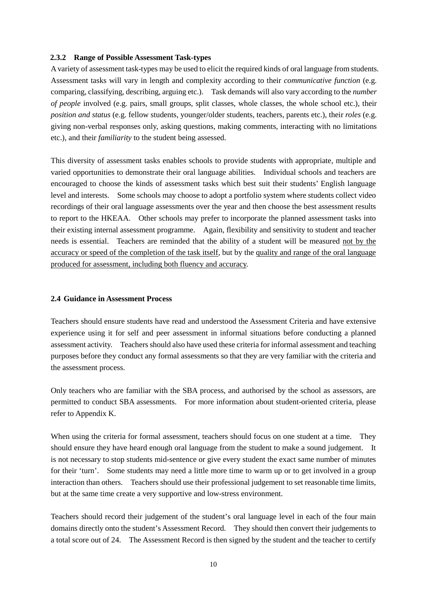### **2.3.2 Range of Possible Assessment Task-types**

A variety of assessment task-types may be used to elicit the required kinds of oral language from students. Assessment tasks will vary in length and complexity according to their *communicative function* (e.g. comparing, classifying, describing, arguing etc.). Task demands will also vary according to the *number of people* involved (e.g. pairs, small groups, split classes, whole classes, the whole school etc.), their *position and status* (e.g. fellow students, younger/older students, teachers, parents etc.), their *roles* (e.g. giving non-verbal responses only, asking questions, making comments, interacting with no limitations etc.), and their *familiarity* to the student being assessed.

This diversity of assessment tasks enables schools to provide students with appropriate, multiple and varied opportunities to demonstrate their oral language abilities. Individual schools and teachers are encouraged to choose the kinds of assessment tasks which best suit their students' English language level and interests. Some schools may choose to adopt a portfolio system where students collect video recordings of their oral language assessments over the year and then choose the best assessment results to report to the HKEAA. Other schools may prefer to incorporate the planned assessment tasks into their existing internal assessment programme. Again, flexibility and sensitivity to student and teacher needs is essential. Teachers are reminded that the ability of a student will be measured not by the accuracy or speed of the completion of the task itself, but by the quality and range of the oral language produced for assessment, including both fluency and accuracy.

### **2.4 Guidance in Assessment Process**

Teachers should ensure students have read and understood the Assessment Criteria and have extensive experience using it for self and peer assessment in informal situations before conducting a planned assessment activity. Teachers should also have used these criteria for informal assessment and teaching purposes before they conduct any formal assessments so that they are very familiar with the criteria and the assessment process.

Only teachers who are familiar with the SBA process, and authorised by the school as assessors, are permitted to conduct SBA assessments. For more information about student-oriented criteria, please refer to Appendix K.

When using the criteria for formal assessment, teachers should focus on one student at a time. They should ensure they have heard enough oral language from the student to make a sound judgement. It is not necessary to stop students mid-sentence or give every student the exact same number of minutes for their 'turn'. Some students may need a little more time to warm up or to get involved in a group interaction than others. Teachers should use their professional judgement to set reasonable time limits, but at the same time create a very supportive and low-stress environment.

Teachers should record their judgement of the student's oral language level in each of the four main domains directly onto the student's Assessment Record. They should then convert their judgements to a total score out of 24. The Assessment Record is then signed by the student and the teacher to certify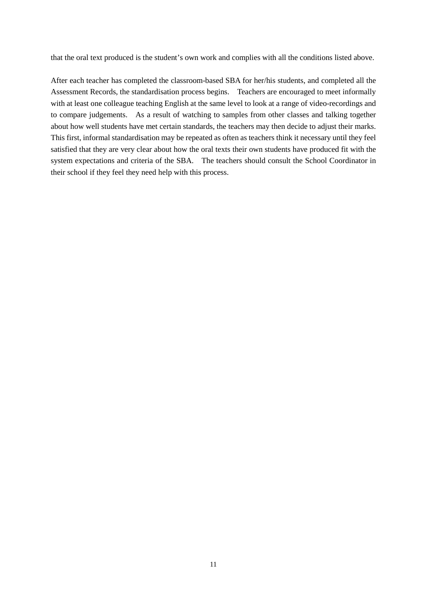that the oral text produced is the student's own work and complies with all the conditions listed above.

After each teacher has completed the classroom-based SBA for her/his students, and completed all the Assessment Records, the standardisation process begins.Teachers are encouraged to meet informally with at least one colleague teaching English at the same level to look at a range of video-recordings and to compare judgements. As a result of watching to samples from other classes and talking together about how well students have met certain standards, the teachers may then decide to adjust their marks. This first, informal standardisation may be repeated as often as teachers think it necessary until they feel satisfied that they are very clear about how the oral texts their own students have produced fit with the system expectations and criteria of the SBA. The teachers should consult the School Coordinator in their school if they feel they need help with this process.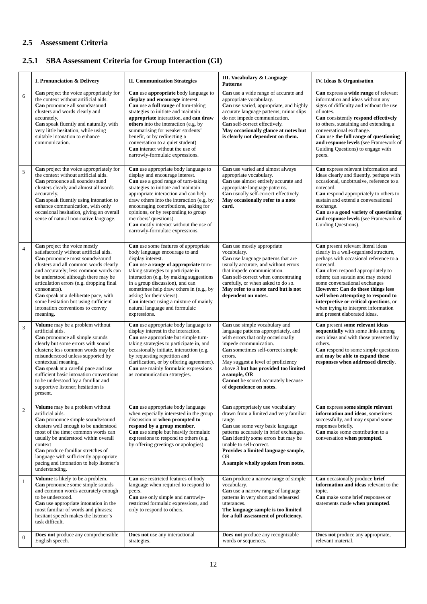# **2.5 Assessment Criteria**

# **2.5.1 SBA Assessment Criteria for Group Interaction (GI)**

|                  | I. Pronunciation & Delivery                                                                                                                                                                                                                                                                                                                                                                                                     | <b>II. Communication Strategies</b>                                                                                                                                                                                                                                                                                                                                                                                             | III. Vocabulary & Language<br><b>Patterns</b>                                                                                                                                                                                                                                                                                                        | IV. Ideas & Organisation                                                                                                                                                                                                                                                                                                                                                                                                                       |
|------------------|---------------------------------------------------------------------------------------------------------------------------------------------------------------------------------------------------------------------------------------------------------------------------------------------------------------------------------------------------------------------------------------------------------------------------------|---------------------------------------------------------------------------------------------------------------------------------------------------------------------------------------------------------------------------------------------------------------------------------------------------------------------------------------------------------------------------------------------------------------------------------|------------------------------------------------------------------------------------------------------------------------------------------------------------------------------------------------------------------------------------------------------------------------------------------------------------------------------------------------------|------------------------------------------------------------------------------------------------------------------------------------------------------------------------------------------------------------------------------------------------------------------------------------------------------------------------------------------------------------------------------------------------------------------------------------------------|
| 6                | Can project the voice appropriately for<br>the context without artificial aids.<br>Can pronounce all sounds/sound<br>clusters and words clearly and<br>accurately.<br>Can speak fluently and naturally, with<br>very little hesitation, while using<br>suitable intonation to enhance<br>communication.                                                                                                                         | Can use appropriate body language to<br>display and encourage interest.<br>Can use a full range of turn-taking<br>strategies to initiate and maintain<br>appropriate interaction, and can draw<br>others into the interaction (e.g. by<br>summarising for weaker students'<br>benefit, or by redirecting a<br>conversation to a quiet student)<br><b>Can</b> interact without the use of<br>narrowly-formulaic expressions.     | Can use a wide range of accurate and<br>appropriate vocabulary.<br>Can use varied, appropriate, and highly<br>accurate language patterns; minor slips<br>do not impede communication.<br>Can self-correct effectively.<br>May occasionally glance at notes but<br>is clearly not dependent on them.                                                  | Can express a wide range of relevant<br>information and ideas without any<br>signs of difficulty and without the use<br>of notes.<br>Can consistently respond effectively<br>to others, sustaining and extending a<br>conversational exchange.<br>Can use the full range of questioning<br>and response levels (see Framework of<br>Guiding Questions) to engage with<br>peers.                                                                |
| 5                | Can project the voice appropriately for<br>the context without artificial aids.<br>Can pronounce all sounds/sound<br>clusters clearly and almost all words<br>accurately.<br>Can speak fluently using intonation to<br>enhance communication, with only<br>occasional hesitation, giving an overall<br>sense of natural non-native language.                                                                                    | Can use appropriate body language to<br>display and encourage interest.<br>Can use a good range of turn-taking<br>strategies to initiate and maintain<br>appropriate interaction and can help<br>draw others into the interaction (e.g. by<br>encouraging contributions, asking for<br>opinions, or by responding to group<br>members' questions).<br>Can mostly interact without the use of<br>narrowly-formulaic expressions. | Can use varied and almost always<br>appropriate vocabulary.<br>Can use almost entirely accurate and<br>appropriate language patterns.<br>Can usually self-correct effectively.<br>May occasionally refer to a note<br>card.                                                                                                                          | Can express relevant information and<br>ideas clearly and fluently, perhaps with<br>occasional, unobtrusive, reference to a<br>notecard.<br>Can respond appropriately to others to<br>sustain and extend a conversational<br>exchange.<br>Can use a good variety of questioning<br>and response levels (see Framework of<br>Guiding Questions).                                                                                                |
| $\overline{4}$   | Can project the voice mostly<br>satisfactorily without artificial aids.<br>Can pronounce most sounds/sound<br>clusters and all common words clearly<br>and accurately; less common words can<br>be understood although there may be<br>articulation errors (e.g. dropping final<br>consonants).<br>Can speak at a deliberate pace, with<br>some hesitation but using sufficient<br>intonation conventions to convey<br>meaning. | Can use some features of appropriate<br>body language encourage to and<br>display interest.<br>Can use a range of appropriate turn-<br>taking strategies to participate in<br>interaction (e.g. by making suggestions<br>in a group discussion), and can<br>sometimes help draw others in (e.g., by<br>asking for their views).<br>Can interact using a mixture of mainly<br>natural language and formulaic<br>expressions.     | Can use mostly appropriate<br>vocabulary.<br>Can use language patterns that are<br>usually accurate, and without errors<br>that impede communication.<br>Can self-correct when concentrating<br>carefully, or when asked to do so.<br>May refer to a note card but is not<br>dependent on notes.                                                     | Can present relevant literal ideas<br>clearly in a well-organised structure,<br>perhaps with occasional reference to a<br>notecard.<br>Can often respond appropriately to<br>others; can sustain and may extend<br>some conversational exchanges<br>However: Can do these things less<br>well when attempting to respond to<br>interpretive or critical questions, or<br>when trying to interpret information<br>and present elaborated ideas. |
| 3                | Volume may be a problem without<br>artificial aids.<br>Can pronounce all simple sounds<br>clearly but some errors with sound<br>clusters; less common words may be<br>misunderstood unless supported by<br>contextual meaning.<br>Can speak at a careful pace and use<br>sufficient basic intonation conventions<br>to be understood by a familiar and<br>supportive listener; hesitation is<br>present.                        | Can use appropriate body language to<br>display interest in the interaction.<br>Can use appropriate but simple turn-<br>taking strategies to participate in, and<br>occasionally initiate, interaction (e.g.<br>by requesting repetition and<br>clarification, or by offering agreement).<br>Can use mainly formulaic expressions<br>as communication strategies.                                                               | Can use simple vocabulary and<br>language patterns appropriately, and<br>with errors that only occasionally<br>impede communication.<br>Can sometimes self-correct simple<br>errors.<br>May suggest a level of proficiency<br>above 3 but has provided too limited<br>a sample, OR<br>Cannot be scored accurately because<br>of dependence on notes. | Can present some relevant ideas<br>sequentially with some links among<br>own ideas and with those presented by<br>others.<br>Can respond to some simple questions<br>and may be able to expand these<br>responses when addressed directly.                                                                                                                                                                                                     |
| $\overline{c}$   | Volume may be a problem without<br>artificial aids.<br>Can pronounce simple sounds/sound<br>clusters well enough to be understood<br>most of the time; common words can<br>usually be understood within overall<br>context<br>Can produce familiar stretches of<br>language with sufficiently appropriate<br>pacing and intonation to help listener's<br>understanding.                                                         | Can use appropriate body language<br>when especially interested in the group<br>discussion or when prompted to<br>respond by a group member.<br>Can use simple but heavily formulaic<br>expressions to respond to others (e.g.<br>by offering greetings or apologies).                                                                                                                                                          | Can appropriately use vocabulary<br>drawn from a limited and very familiar<br>range.<br>Can use some very basic language<br>patterns accurately in brief exchanges.<br>Can identify some errors but may be<br>unable to self-correct.<br>Provides a limited language sample,<br><b>OR</b><br>A sample wholly spoken from notes.                      | Can express some simple relevant<br>information and ideas, sometimes<br>successfully, and may expand some<br>responses briefly.<br>Can make some contribution to a<br>conversation when prompted.                                                                                                                                                                                                                                              |
| $\mathbf{1}$     | Volume is likely to be a problem.<br>Can pronounce some simple sounds<br>and common words accurately enough<br>to be understood.<br>Can use appropriate intonation in the<br>most familiar of words and phrases;<br>hesitant speech makes the listener's<br>task difficult.                                                                                                                                                     | Can use restricted features of body<br>language when required to respond to<br>peers.<br>Can use only simple and narrowly-<br>restricted formulaic expressions, and<br>only to respond to others.                                                                                                                                                                                                                               | Can produce a narrow range of simple<br>vocabulary.<br>Can use a narrow range of language<br>patterns in very short and rehearsed<br>utterances.<br>The language sample is too limited<br>for a full assessment of proficiency.                                                                                                                      | Can occasionally produce brief<br>information and ideas relevant to the<br>topic.<br>Can make some brief responses or<br>statements made when prompted.                                                                                                                                                                                                                                                                                        |
| $\boldsymbol{0}$ | Does not produce any comprehensible<br>English speech.                                                                                                                                                                                                                                                                                                                                                                          | Does not use any interactional<br>strategies.                                                                                                                                                                                                                                                                                                                                                                                   | Does not produce any recognizable<br>words or sequences.                                                                                                                                                                                                                                                                                             | Does not produce any appropriate,<br>relevant material.                                                                                                                                                                                                                                                                                                                                                                                        |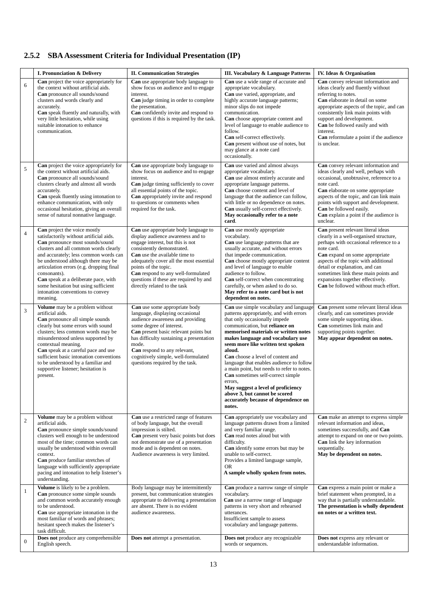# **2.5.2 SBA Assessment Criteria for Individual Presentation (IP)**

|                  | I. Pronunciation & Delivery                                                                                                                                                                                                                                                                                                                                                                                                     | <b>II. Communication Strategies</b>                                                                                                                                                                                                                                                                                                                                    | III. Vocabulary & Language Patterns                                                                                                                                                                                                                                                                                                                                                                                                                                                                                                                                                      | IV. Ideas & Organisation                                                                                                                                                                                                                                                                                                                                             |
|------------------|---------------------------------------------------------------------------------------------------------------------------------------------------------------------------------------------------------------------------------------------------------------------------------------------------------------------------------------------------------------------------------------------------------------------------------|------------------------------------------------------------------------------------------------------------------------------------------------------------------------------------------------------------------------------------------------------------------------------------------------------------------------------------------------------------------------|------------------------------------------------------------------------------------------------------------------------------------------------------------------------------------------------------------------------------------------------------------------------------------------------------------------------------------------------------------------------------------------------------------------------------------------------------------------------------------------------------------------------------------------------------------------------------------------|----------------------------------------------------------------------------------------------------------------------------------------------------------------------------------------------------------------------------------------------------------------------------------------------------------------------------------------------------------------------|
| $\epsilon$       | Can project the voice appropriately for<br>the context without artificial aids.<br>Can pronounce all sounds/sound<br>clusters and words clearly and<br>accurately.<br>Can speak fluently and naturally, with<br>very little hesitation, while using<br>suitable intonation to enhance<br>communication.                                                                                                                         | Can use appropriate body language to<br>show focus on audience and to engage<br>interest.<br>Can judge timing in order to complete<br>the presentation.<br>Can confidently invite and respond to<br>questions if this is required by the task.                                                                                                                         | Can use a wide range of accurate and<br>appropriate vocabulary.<br>Can use varied, appropriate, and<br>highly accurate language patterns;<br>minor slips do not impede<br>communication.<br>Can choose appropriate content and<br>level of language to enable audience to<br>follow.<br>Can self-correct effectively.<br>Can present without use of notes, but<br>may glance at a note card<br>occasionally.                                                                                                                                                                             | Can convey relevant information and<br>ideas clearly and fluently without<br>referring to notes.<br>Can elaborate in detail on some<br>appropriate aspects of the topic, and can<br>consistently link main points with<br>support and development.<br>Can be followed easily and with<br>interest.<br><b>Can</b> reformulate a point if the audience<br>is unclear.  |
| 5                | <b>Can</b> project the voice appropriately for<br>the context without artificial aids.<br>Can pronounce all sounds/sound<br>clusters clearly and almost all words<br>accurately.<br>Can speak fluently using intonation to<br>enhance communication, with only<br>occasional hesitation, giving an overall<br>sense of natural nonnative language.                                                                              | Can use appropriate body language to<br>show focus on audience and to engage<br>interest.<br>Can judge timing sufficiently to cover<br>all essential points of the topic.<br>Can appropriately invite and respond<br>to questions or comments when<br>required for the task.                                                                                           | Can use varied and almost always<br>appropriate vocabulary.<br>Can use almost entirely accurate and<br>appropriate language patterns.<br>Can choose content and level of<br>language that the audience can follow,<br>with little or no dependence on notes.<br>Can usually self-correct effectively.<br>May occasionally refer to a note<br>card.                                                                                                                                                                                                                                       | Can convey relevant information and<br>ideas clearly and well, perhaps with<br>occasional, unobtrusive, reference to a<br>note card.<br>Can elaborate on some appropriate<br>aspects of the topic, and can link main<br>points with support and development.<br>Can be followed easily.<br><b>Can</b> explain a point if the audience is<br>unclear.                 |
| $\overline{4}$   | Can project the voice mostly<br>satisfactorily without artificial aids.<br>Can pronounce most sounds/sound<br>clusters and all common words clearly<br>and accurately; less common words can<br>be understood although there may be<br>articulation errors (e.g. dropping final<br>consonants).<br>Can speak at a deliberate pace, with<br>some hesitation but using sufficient<br>intonation conventions to convey<br>meaning. | Can use appropriate body language to<br>display audience awareness and to<br>engage interest, but this is not<br>consistently demonstrated.<br><b>Can</b> use the available time to<br>adequately cover all the most essential<br>points of the topic.<br>Can respond to any well-formulated<br>questions if these are required by and<br>directly related to the task | Can use mostly appropriate<br>vocabulary.<br>Can use language patterns that are<br>usually accurate, and without errors<br>that impede communication.<br>Can choose mostly appropriate content<br>and level of language to enable<br>audience to follow.<br>Can self-correct when concentrating<br>carefully, or when asked to do so.<br>May refer to a note card but is not<br>dependent on notes.                                                                                                                                                                                      | Can present relevant literal ideas<br>clearly in a well-organised structure,<br>perhaps with occasional reference to a<br>note card.<br>Can expand on some appropriate<br>aspects of the topic with additional<br>detail or explanation, and can<br>sometimes link these main points and<br>expansions together effectively.<br>Can be followed without much effort. |
| 3                | Volume may be a problem without<br>artificial aids.<br>Can pronounce all simple sounds<br>clearly but some errors with sound<br>clusters; less common words may be<br>misunderstood unless supported by<br>contextual meaning.<br>Can speak at a careful pace and use<br>sufficient basic intonation conventions<br>to be understood by a familiar and<br>supportive listener; hesitation is<br>present.                        | Can use some appropriate body<br>language, displaying occasional<br>audience awareness and providing<br>some degree of interest.<br>Can present basic relevant points but<br>has difficulty sustaining a presentation<br>mode.<br>Can respond to any relevant,<br>cognitively simple, well-formulated<br>questions required by the task.                               | Can use simple vocabulary and language<br>patterns appropriately, and with errors<br>that only occasionally impede<br>communication, but reliance on<br>memorised materials or written notes<br>makes language and vocabulary use<br>seem more like written text spoken<br>aloud.<br>Can choose a level of content and<br>language that enables audience to follow<br>a main point, but needs to refer to notes.<br>Can sometimes self-correct simple<br>errors,<br>May suggest a level of proficiency<br>above 3, but cannot be scored<br>accurately because of dependence on<br>notes. | Can present some relevant literal ideas<br>clearly, and can sometimes provide<br>some simple supporting ideas.<br>Can sometimes link main and<br>supporting points together.<br>May appear dependent on notes.                                                                                                                                                       |
| $\sqrt{2}$       | Volume may be a problem without<br>artificial aids.<br>Can pronounce simple sounds/sound<br>clusters well enough to be understood<br>most of the time; common words can<br>usually be understood within overall<br>context.<br><b>Can</b> produce familiar stretches of<br>language with sufficiently appropriate<br>pacing and intonation to help listener's<br>understanding.                                                 | Can use a restricted range of features<br>of body language, but the overall<br>impression is stilted.<br>Can present very basic points but does<br>not demonstrate use of a presentation<br>mode and is dependent on notes.<br>Audience awareness is very limited.                                                                                                     | Can appropriately use vocabulary and<br>language patterns drawn from a limited<br>and very familiar range.<br>Can read notes aloud but with<br>difficulty.<br>Can identify some errors but may be<br>unable to self-correct.<br>Provides a limited language sample,<br><b>OR</b><br>A sample wholly spoken from notes.                                                                                                                                                                                                                                                                   | Can make an attempt to express simple<br>relevant information and ideas,<br>sometimes successfully, and Can<br>attempt to expand on one or two points.<br>Can link the key information<br>sequentially.<br>May be dependent on notes.                                                                                                                                |
| $\mathbf{1}$     | Volume is likely to be a problem.<br>Can pronounce some simple sounds<br>and common words accurately enough<br>to be understood.<br>Can use appropriate intonation in the<br>most familiar of words and phrases;<br>hesitant speech makes the listener's<br>task difficult.                                                                                                                                                     | Body language may be intermittently<br>present, but communication strategies<br>appropriate to delivering a presentation<br>are absent. There is no evident<br>audience awareness.                                                                                                                                                                                     | <b>Can</b> produce a narrow range of simple<br>vocabulary.<br>Can use a narrow range of language<br>patterns in very short and rehearsed<br>utterances.<br>Insufficient sample to assess<br>vocabulary and language patterns.                                                                                                                                                                                                                                                                                                                                                            | Can express a main point or make a<br>brief statement when prompted, in a<br>way that is partially understandable.<br>The presentation is wholly dependent<br>on notes or a written text.                                                                                                                                                                            |
| $\boldsymbol{0}$ | Does not produce any comprehensible<br>English speech.                                                                                                                                                                                                                                                                                                                                                                          | <b>Does not</b> attempt a presentation.                                                                                                                                                                                                                                                                                                                                | Does not produce any recognizable<br>words or sequences.                                                                                                                                                                                                                                                                                                                                                                                                                                                                                                                                 | Does not express any relevant or<br>understandable information.                                                                                                                                                                                                                                                                                                      |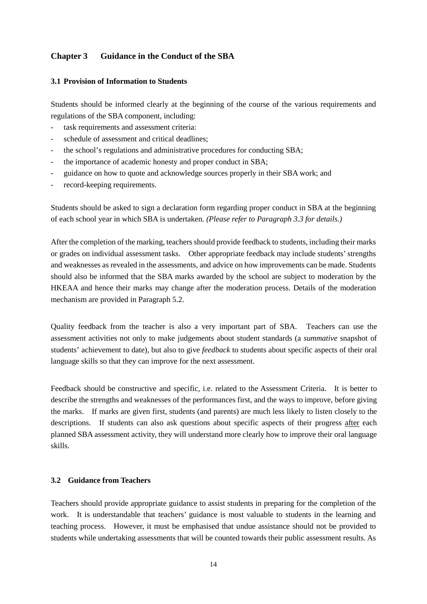# **Chapter 3 Guidance in the Conduct of the SBA**

### **3.1 Provision of Information to Students**

Students should be informed clearly at the beginning of the course of the various requirements and regulations of the SBA component, including:

- task requirements and assessment criteria:
- schedule of assessment and critical deadlines;
- the school's regulations and administrative procedures for conducting SBA;
- the importance of academic honesty and proper conduct in SBA;
- guidance on how to quote and acknowledge sources properly in their SBA work; and
- record-keeping requirements.

Students should be asked to sign a declaration form regarding proper conduct in SBA at the beginning of each school year in which SBA is undertaken. *(Please refer to Paragraph 3.3 for details.)*

After the completion of the marking, teachers should provide feedback to students, including their marks or grades on individual assessment tasks. Other appropriate feedback may include students' strengths and weaknesses as revealed in the assessments, and advice on how improvements can be made. Students should also be informed that the SBA marks awarded by the school are subject to moderation by the HKEAA and hence their marks may change after the moderation process. Details of the moderation mechanism are provided in Paragraph 5.2.

Quality feedback from the teacher is also a very important part of SBA. Teachers can use the assessment activities not only to make judgements about student standards (a *summative* snapshot of students' achievement to date), but also to give *feedback* to students about specific aspects of their oral language skills so that they can improve for the next assessment.

Feedback should be constructive and specific, i.e. related to the Assessment Criteria. It is better to describe the strengths and weaknesses of the performances first, and the ways to improve, before giving the marks. If marks are given first, students (and parents) are much less likely to listen closely to the descriptions. If students can also ask questions about specific aspects of their progress after each planned SBA assessment activity, they will understand more clearly how to improve their oral language skills.

#### **3.2 Guidance from Teachers**

Teachers should provide appropriate guidance to assist students in preparing for the completion of the work. It is understandable that teachers' guidance is most valuable to students in the learning and teaching process. However, it must be emphasised that undue assistance should not be provided to students while undertaking assessments that will be counted towards their public assessment results. As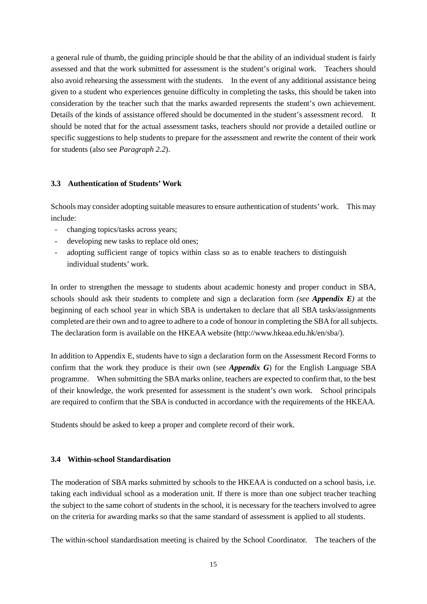a general rule of thumb, the guiding principle should be that the ability of an individual student is fairly assessed and that the work submitted for assessment is the student's original work. Teachers should also avoid rehearsing the assessment with the students. In the event of any additional assistance being given to a student who experiences genuine difficulty in completing the tasks, this should be taken into consideration by the teacher such that the marks awarded represents the student's own achievement. Details of the kinds of assistance offered should be documented in the student's assessment record. It should be noted that for the actual assessment tasks, teachers should *not* provide a detailed outline or specific suggestions to help students to prepare for the assessment and rewrite the content of their work for students (also see *Paragraph 2.2*).

### **3.3 Authentication of Students' Work**

Schools may consider adopting suitable measures to ensure authentication of students' work. This may include:

- changing topics/tasks across years;
- developing new tasks to replace old ones;
- adopting sufficient range of topics within class so as to enable teachers to distinguish individual students' work.

In order to strengthen the message to students about academic honesty and proper conduct in SBA, schools should ask their students to complete and sign a declaration form *(see Appendix E)* at the beginning of each school year in which SBA is undertaken to declare that all SBA tasks/assignments completed are their own and to agree to adhere to a code of honour in completing the SBA for all subjects. The declaration form is available on the HKEAA website (http://www.hkeaa.edu.hk/en/sba/).

In addition to Appendix E, students have to sign a declaration form on the Assessment Record Forms to confirm that the work they produce is their own (see *Appendix G*) for the English Language SBA programme. When submitting the SBA marks online, teachers are expected to confirm that, to the best of their knowledge, the work presented for assessment is the student's own work. School principals are required to confirm that the SBA is conducted in accordance with the requirements of the HKEAA.

Students should be asked to keep a proper and complete record of their work.

### **3.4 Within-school Standardisation**

The moderation of SBA marks submitted by schools to the HKEAA is conducted on a school basis, i.e. taking each individual school as a moderation unit. If there is more than one subject teacher teaching the subject to the same cohort of students in the school, it is necessary for the teachers involved to agree on the criteria for awarding marks so that the same standard of assessment is applied to all students.

The within-school standardisation meeting is chaired by the School Coordinator. The teachers of the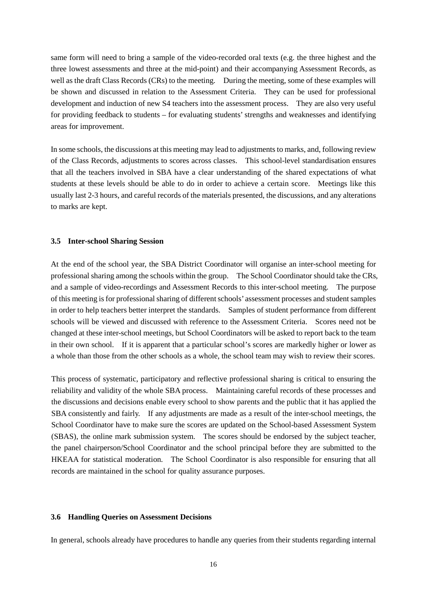same form will need to bring a sample of the video-recorded oral texts (e.g. the three highest and the three lowest assessments and three at the mid-point) and their accompanying Assessment Records, as well as the draft Class Records (CRs) to the meeting. During the meeting, some of these examples will be shown and discussed in relation to the Assessment Criteria. They can be used for professional development and induction of new S4 teachers into the assessment process. They are also very useful for providing feedback to students – for evaluating students' strengths and weaknesses and identifying areas for improvement.

In some schools, the discussions at this meeting may lead to adjustments to marks, and, following review of the Class Records, adjustments to scores across classes. This school-level standardisation ensures that all the teachers involved in SBA have a clear understanding of the shared expectations of what students at these levels should be able to do in order to achieve a certain score. Meetings like this usually last 2-3 hours, and careful records of the materials presented, the discussions, and any alterations to marks are kept.

#### **3.5 Inter-school Sharing Session**

At the end of the school year, the SBA District Coordinator will organise an inter-school meeting for professional sharing among the schools within the group. The School Coordinator should take the CRs, and a sample of video-recordings and Assessment Records to this inter-school meeting. The purpose of this meeting is for professional sharing of different schools' assessment processes and student samples in order to help teachers better interpret the standards. Samples of student performance from different schools will be viewed and discussed with reference to the Assessment Criteria. Scores need not be changed at these inter-school meetings, but School Coordinators will be asked to report back to the team in their own school. If it is apparent that a particular school's scores are markedly higher or lower as a whole than those from the other schools as a whole, the school team may wish to review their scores.

This process of systematic, participatory and reflective professional sharing is critical to ensuring the reliability and validity of the whole SBA process. Maintaining careful records of these processes and the discussions and decisions enable every school to show parents and the public that it has applied the SBA consistently and fairly. If any adjustments are made as a result of the inter-school meetings, the School Coordinator have to make sure the scores are updated on the School-based Assessment System (SBAS), the online mark submission system. The scores should be endorsed by the subject teacher, the panel chairperson/School Coordinator and the school principal before they are submitted to the HKEAA for statistical moderation. The School Coordinator is also responsible for ensuring that all records are maintained in the school for quality assurance purposes.

#### **3.6 Handling Queries on Assessment Decisions**

In general, schools already have procedures to handle any queries from their students regarding internal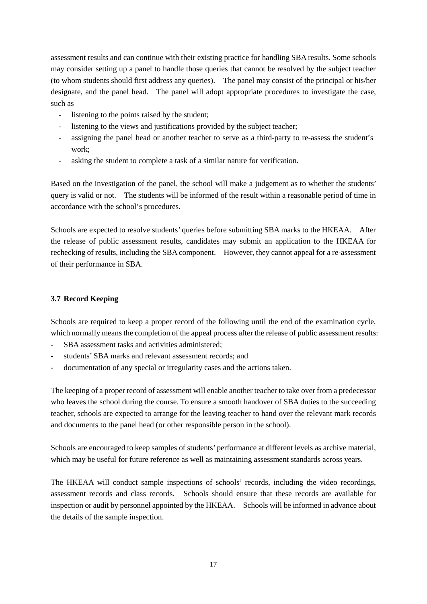assessment results and can continue with their existing practice for handling SBA results. Some schools may consider setting up a panel to handle those queries that cannot be resolved by the subject teacher (to whom students should first address any queries). The panel may consist of the principal or his/her designate, and the panel head. The panel will adopt appropriate procedures to investigate the case, such as

- listening to the points raised by the student;
- listening to the views and justifications provided by the subject teacher;
- assigning the panel head or another teacher to serve as a third-party to re-assess the student's work;
- asking the student to complete a task of a similar nature for verification.

Based on the investigation of the panel, the school will make a judgement as to whether the students' query is valid or not. The students will be informed of the result within a reasonable period of time in accordance with the school's procedures.

Schools are expected to resolve students' queries before submitting SBA marks to the HKEAA. After the release of public assessment results, candidates may submit an application to the HKEAA for rechecking of results, including the SBA component. However, they cannot appeal for a re-assessment of their performance in SBA.

# **3.7 Record Keeping**

Schools are required to keep a proper record of the following until the end of the examination cycle, which normally means the completion of the appeal process after the release of public assessment results:

- SBA assessment tasks and activities administered:
- students' SBA marks and relevant assessment records; and
- documentation of any special or irregularity cases and the actions taken.

The keeping of a proper record of assessment will enable another teacher to take over from a predecessor who leaves the school during the course. To ensure a smooth handover of SBA duties to the succeeding teacher, schools are expected to arrange for the leaving teacher to hand over the relevant mark records and documents to the panel head (or other responsible person in the school).

Schools are encouraged to keep samples of students' performance at different levels as archive material, which may be useful for future reference as well as maintaining assessment standards across years.

The HKEAA will conduct sample inspections of schools' records, including the video recordings, assessment records and class records. Schools should ensure that these records are available for inspection or audit by personnel appointed by the HKEAA. Schools will be informed in advance about the details of the sample inspection.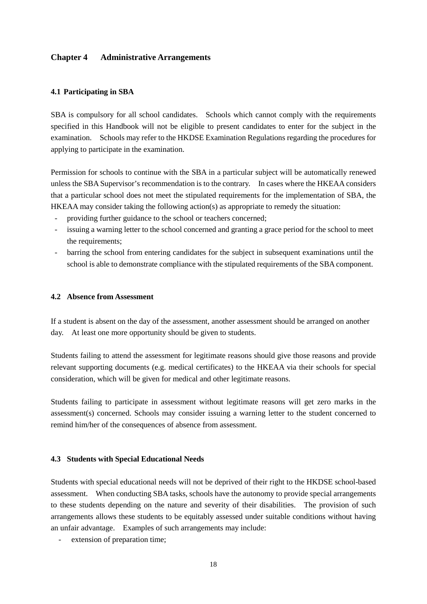# **Chapter 4 Administrative Arrangements**

### **4.1 Participating in SBA**

SBA is compulsory for all school candidates. Schools which cannot comply with the requirements specified in this Handbook will not be eligible to present candidates to enter for the subject in the examination. Schools may refer to the HKDSE Examination Regulations regarding the procedures for applying to participate in the examination.

Permission for schools to continue with the SBA in a particular subject will be automatically renewed unless the SBA Supervisor's recommendation is to the contrary. In cases where the HKEAA considers that a particular school does not meet the stipulated requirements for the implementation of SBA, the HKEAA may consider taking the following action(s) as appropriate to remedy the situation:

- providing further guidance to the school or teachers concerned;
- issuing a warning letter to the school concerned and granting a grace period for the school to meet the requirements;
- barring the school from entering candidates for the subject in subsequent examinations until the school is able to demonstrate compliance with the stipulated requirements of the SBA component.

### **4.2 Absence from Assessment**

If a student is absent on the day of the assessment, another assessment should be arranged on another day. At least one more opportunity should be given to students.

Students failing to attend the assessment for legitimate reasons should give those reasons and provide relevant supporting documents (e.g. medical certificates) to the HKEAA via their schools for special consideration, which will be given for medical and other legitimate reasons.

Students failing to participate in assessment without legitimate reasons will get zero marks in the assessment(s) concerned. Schools may consider issuing a warning letter to the student concerned to remind him/her of the consequences of absence from assessment.

#### **4.3 Students with Special Educational Needs**

Students with special educational needs will not be deprived of their right to the HKDSE school-based assessment. When conducting SBA tasks, schools have the autonomy to provide special arrangements to these students depending on the nature and severity of their disabilities. The provision of such arrangements allows these students to be equitably assessed under suitable conditions without having an unfair advantage. Examples of such arrangements may include:

extension of preparation time;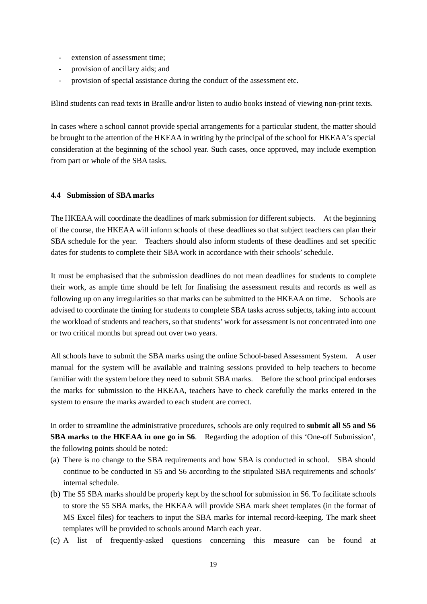- extension of assessment time;
- provision of ancillary aids; and
- provision of special assistance during the conduct of the assessment etc.

Blind students can read texts in Braille and/or listen to audio books instead of viewing non-print texts.

In cases where a school cannot provide special arrangements for a particular student, the matter should be brought to the attention of the HKEAA in writing by the principal of the school for HKEAA's special consideration at the beginning of the school year. Such cases, once approved, may include exemption from part or whole of the SBA tasks.

# **4.4 Submission of SBA marks**

The HKEAA will coordinate the deadlines of mark submission for different subjects. At the beginning of the course, the HKEAA will inform schools of these deadlines so that subject teachers can plan their SBA schedule for the year. Teachers should also inform students of these deadlines and set specific dates for students to complete their SBA work in accordance with their schools' schedule.

It must be emphasised that the submission deadlines do not mean deadlines for students to complete their work, as ample time should be left for finalising the assessment results and records as well as following up on any irregularities so that marks can be submitted to the HKEAA on time. Schools are advised to coordinate the timing for students to complete SBA tasks across subjects, taking into account the workload of students and teachers, so that students' work for assessment is not concentrated into one or two critical months but spread out over two years.

All schools have to submit the SBA marks using the online School-based Assessment System. A user manual for the system will be available and training sessions provided to help teachers to become familiar with the system before they need to submit SBA marks. Before the school principal endorses the marks for submission to the HKEAA, teachers have to check carefully the marks entered in the system to ensure the marks awarded to each student are correct.

In order to streamline the administrative procedures, schools are only required to **submit all S5 and S6 SBA marks to the HKEAA in one go in S6**. Regarding the adoption of this 'One-off Submission', the following points should be noted:

- (a) There is no change to the SBA requirements and how SBA is conducted in school. SBA should continue to be conducted in S5 and S6 according to the stipulated SBA requirements and schools' internal schedule.
- (b) The S5 SBA marks should be properly kept by the school for submission in S6. To facilitate schools to store the S5 SBA marks, the HKEAA will provide SBA mark sheet templates (in the format of MS Excel files) for teachers to input the SBA marks for internal record-keeping. The mark sheet templates will be provided to schools around March each year.
- (c) A list of frequently-asked questions concerning this measure can be found at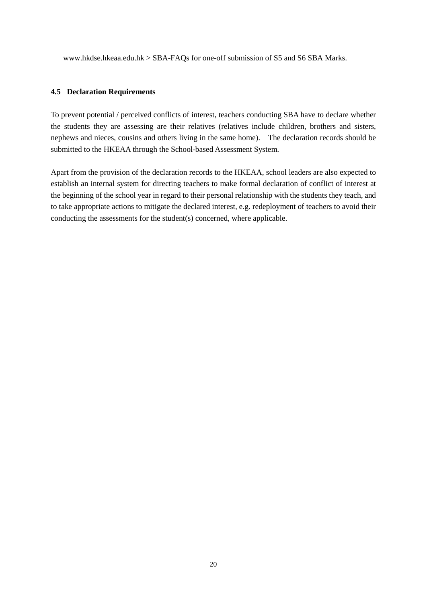www.hkdse.hkeaa.edu.hk > SBA-FAQs for one-off submission of S5 and S6 SBA Marks.

### **4.5 Declaration Requirements**

To prevent potential / perceived conflicts of interest, teachers conducting SBA have to declare whether the students they are assessing are their relatives (relatives include children, brothers and sisters, nephews and nieces, cousins and others living in the same home). The declaration records should be submitted to the HKEAA through the School-based Assessment System.

Apart from the provision of the declaration records to the HKEAA, school leaders are also expected to establish an internal system for directing teachers to make formal declaration of conflict of interest at the beginning of the school year in regard to their personal relationship with the students they teach, and to take appropriate actions to mitigate the declared interest, e.g. redeployment of teachers to avoid their conducting the assessments for the student(s) concerned, where applicable.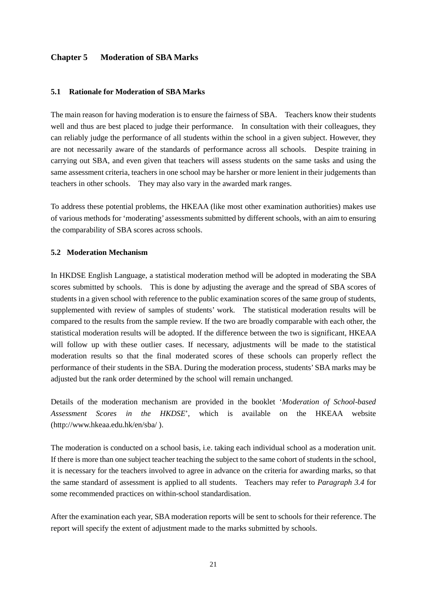# **Chapter 5 Moderation of SBA Marks**

### **5.1 Rationale for Moderation of SBA Marks**

The main reason for having moderation is to ensure the fairness of SBA. Teachers know their students well and thus are best placed to judge their performance. In consultation with their colleagues, they can reliably judge the performance of all students within the school in a given subject. However, they are not necessarily aware of the standards of performance across all schools. Despite training in carrying out SBA, and even given that teachers will assess students on the same tasks and using the same assessment criteria, teachers in one school may be harsher or more lenient in their judgements than teachers in other schools. They may also vary in the awarded mark ranges.

To address these potential problems, the HKEAA (like most other examination authorities) makes use of various methods for 'moderating' assessments submitted by different schools, with an aim to ensuring the comparability of SBA scores across schools.

#### **5.2 Moderation Mechanism**

In HKDSE English Language, a statistical moderation method will be adopted in moderating the SBA scores submitted by schools. This is done by adjusting the average and the spread of SBA scores of students in a given school with reference to the public examination scores of the same group of students, supplemented with review of samples of students' work. The statistical moderation results will be compared to the results from the sample review. If the two are broadly comparable with each other, the statistical moderation results will be adopted. If the difference between the two is significant, HKEAA will follow up with these outlier cases. If necessary, adjustments will be made to the statistical moderation results so that the final moderated scores of these schools can properly reflect the performance of their students in the SBA. During the moderation process, students' SBA marks may be adjusted but the rank order determined by the school will remain unchanged.

Details of the moderation mechanism are provided in the booklet '*Moderation of School-based Assessment Scores in the HKDSE*', which is available on the HKEAA website (http://www.hkeaa.edu.hk/en/sba/ ).

The moderation is conducted on a school basis, i.e. taking each individual school as a moderation unit. If there is more than one subject teacher teaching the subject to the same cohort of students in the school, it is necessary for the teachers involved to agree in advance on the criteria for awarding marks, so that the same standard of assessment is applied to all students. Teachers may refer to *Paragraph 3.4* for some recommended practices on within-school standardisation.

After the examination each year, SBA moderation reports will be sent to schools for their reference. The report will specify the extent of adjustment made to the marks submitted by schools.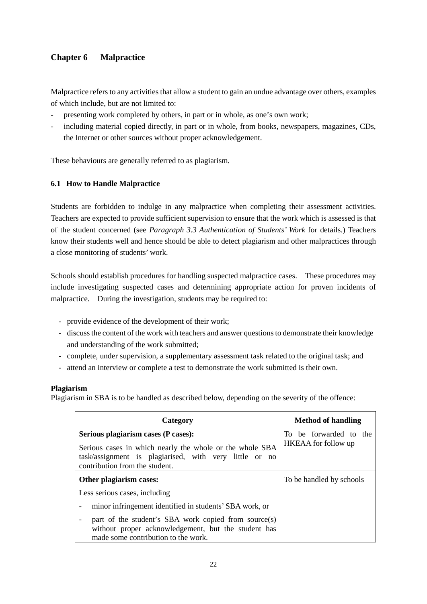# **Chapter 6 Malpractice**

Malpractice refers to any activities that allow a student to gain an undue advantage over others, examples of which include, but are not limited to:

- presenting work completed by others, in part or in whole, as one's own work;
- including material copied directly, in part or in whole, from books, newspapers, magazines, CDs, the Internet or other sources without proper acknowledgement.

These behaviours are generally referred to as plagiarism.

# **6.1 How to Handle Malpractice**

Students are forbidden to indulge in any malpractice when completing their assessment activities. Teachers are expected to provide sufficient supervision to ensure that the work which is assessed is that of the student concerned (see *Paragraph 3.3 Authentication of Students' Work* for details.) Teachers know their students well and hence should be able to detect plagiarism and other malpractices through a close monitoring of students' work.

Schools should establish procedures for handling suspected malpractice cases. These procedures may include investigating suspected cases and determining appropriate action for proven incidents of malpractice. During the investigation, students may be required to:

- provide evidence of the development of their work;
- discuss the content of the work with teachers and answer questions to demonstrate their knowledge and understanding of the work submitted;
- complete, under supervision, a supplementary assessment task related to the original task; and
- attend an interview or complete a test to demonstrate the work submitted is their own.

# **Plagiarism**

Plagiarism in SBA is to be handled as described below, depending on the severity of the offence:

| Category                                                                                                                                                                                    | <b>Method of handling</b>                     |
|---------------------------------------------------------------------------------------------------------------------------------------------------------------------------------------------|-----------------------------------------------|
| Serious plagiarism cases (P cases):<br>Serious cases in which nearly the whole or the whole SBA<br>task/assignment is plagiarised, with very little or no<br>contribution from the student. | To be forwarded to the<br>HKEAA for follow up |
| Other plagiarism cases:                                                                                                                                                                     | To be handled by schools                      |
| Less serious cases, including                                                                                                                                                               |                                               |
| minor infringement identified in students' SBA work, or                                                                                                                                     |                                               |
| part of the student's SBA work copied from source(s)<br>without proper acknowledgement, but the student has<br>made some contribution to the work.                                          |                                               |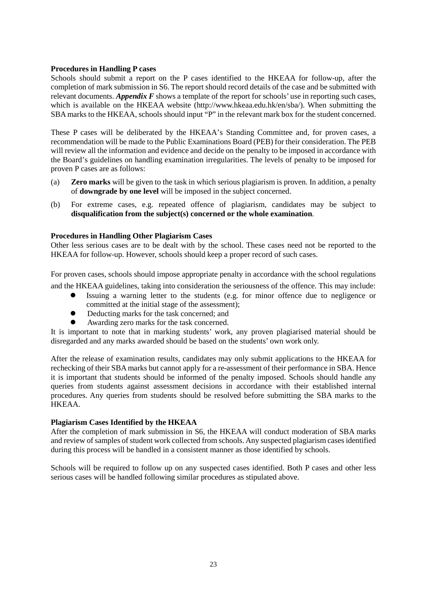# **Procedures in Handling P cases**

Schools should submit a report on the P cases identified to the HKEAA for follow-up, after the completion of mark submission in S6. The report should record details of the case and be submitted with relevant documents. *Appendix F* shows a template of the report for schools' use in reporting such cases, which is available on the HKEAA website (http://www.hkeaa.edu.hk/en/sba/). When submitting the SBA marks to the HKEAA, schools should input "P" in the relevant mark box for the student concerned.

These P cases will be deliberated by the HKEAA's Standing Committee and, for proven cases, a recommendation will be made to the Public Examinations Board (PEB) for their consideration. The PEB will review all the information and evidence and decide on the penalty to be imposed in accordance with the Board's guidelines on handling examination irregularities. The levels of penalty to be imposed for proven P cases are as follows:

- (a) **Zero marks** will be given to the task in which serious plagiarism is proven. In addition, a penalty of **downgrade by one level** will be imposed in the subject concerned.
- (b) For extreme cases, e.g. repeated offence of plagiarism, candidates may be subject to **disqualification from the subject(s) concerned or the whole examination**.

# **Procedures in Handling Other Plagiarism Cases**

Other less serious cases are to be dealt with by the school. These cases need not be reported to the HKEAA for follow-up. However, schools should keep a proper record of such cases.

For proven cases, schools should impose appropriate penalty in accordance with the school regulations and the HKEAA guidelines, taking into consideration the seriousness of the offence. This may include:

- Issuing a warning letter to the students (e.g. for minor offence due to negligence or committed at the initial stage of the assessment);
- Deducting marks for the task concerned; and
- Awarding zero marks for the task concerned.

It is important to note that in marking students' work, any proven plagiarised material should be disregarded and any marks awarded should be based on the students' own work only.

After the release of examination results, candidates may only submit applications to the HKEAA for rechecking of their SBA marks but cannot apply for a re-assessment of their performance in SBA. Hence it is important that students should be informed of the penalty imposed. Schools should handle any queries from students against assessment decisions in accordance with their established internal procedures. Any queries from students should be resolved before submitting the SBA marks to the HKEAA.

### **Plagiarism Cases Identified by the HKEAA**

After the completion of mark submission in S6, the HKEAA will conduct moderation of SBA marks and review of samples of student work collected from schools. Any suspected plagiarism cases identified during this process will be handled in a consistent manner as those identified by schools.

Schools will be required to follow up on any suspected cases identified. Both P cases and other less serious cases will be handled following similar procedures as stipulated above.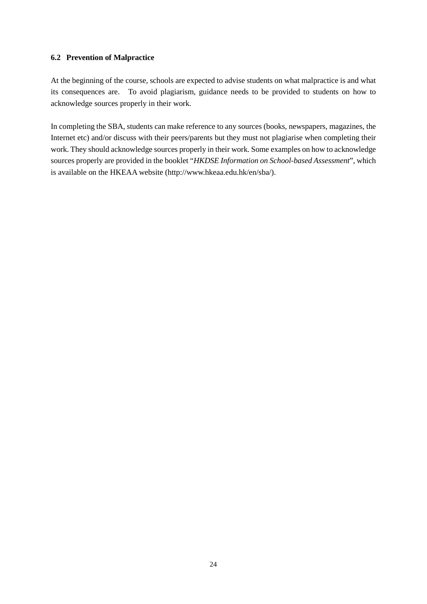# **6.2 Prevention of Malpractice**

At the beginning of the course, schools are expected to advise students on what malpractice is and what its consequences are. To avoid plagiarism, guidance needs to be provided to students on how to acknowledge sources properly in their work.

In completing the SBA, students can make reference to any sources (books, newspapers, magazines, the Internet etc) and/or discuss with their peers/parents but they must not plagiarise when completing their work. They should acknowledge sources properly in their work. Some examples on how to acknowledge sources properly are provided in the booklet "*HKDSE Information on School-based Assessment*", which is available on the HKEAA website (http://www.hkeaa.edu.hk/en/sba/).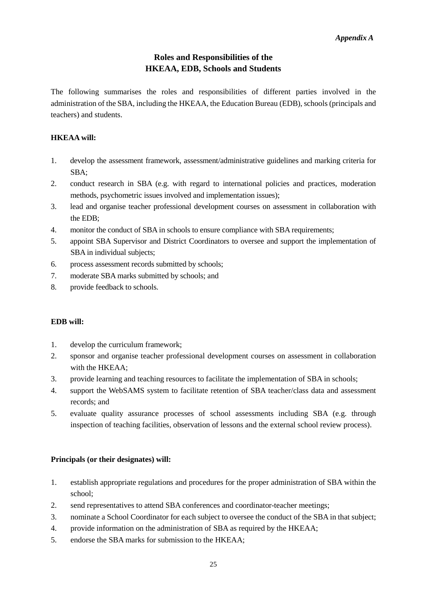# **Roles and Responsibilities of the HKEAA, EDB, Schools and Students**

The following summarises the roles and responsibilities of different parties involved in the administration of the SBA, including the HKEAA, the Education Bureau (EDB), schools (principals and teachers) and students.

# **HKEAA will:**

- 1. develop the assessment framework, assessment/administrative guidelines and marking criteria for SBA;
- 2. conduct research in SBA (e.g. with regard to international policies and practices, moderation methods, psychometric issues involved and implementation issues);
- 3. lead and organise teacher professional development courses on assessment in collaboration with the EDB;
- 4. monitor the conduct of SBA in schools to ensure compliance with SBA requirements;
- 5. appoint SBA Supervisor and District Coordinators to oversee and support the implementation of SBA in individual subjects;
- 6. process assessment records submitted by schools;
- 7. moderate SBA marks submitted by schools; and
- 8. provide feedback to schools.

# **EDB will:**

- 1. develop the curriculum framework;
- 2. sponsor and organise teacher professional development courses on assessment in collaboration with the HKEAA;
- 3. provide learning and teaching resources to facilitate the implementation of SBA in schools;
- 4. support the WebSAMS system to facilitate retention of SBA teacher/class data and assessment records; and
- 5. evaluate quality assurance processes of school assessments including SBA (e.g. through inspection of teaching facilities, observation of lessons and the external school review process).

# **Principals (or their designates) will:**

- 1. establish appropriate regulations and procedures for the proper administration of SBA within the school;
- 2. send representatives to attend SBA conferences and coordinator-teacher meetings;
- 3. nominate a School Coordinator for each subject to oversee the conduct of the SBA in that subject;
- 4. provide information on the administration of SBA as required by the HKEAA;
- 5. endorse the SBA marks for submission to the HKEAA;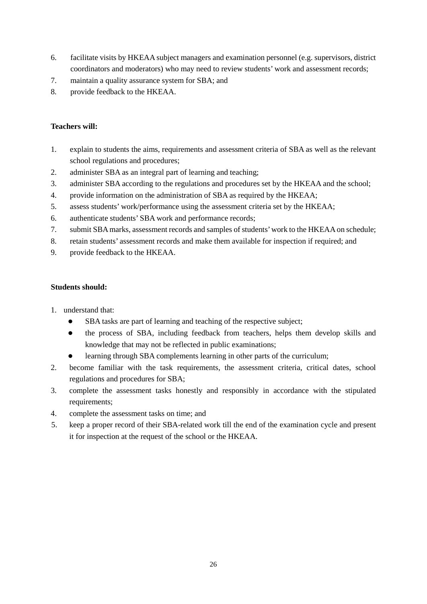- 6. facilitate visits by HKEAA subject managers and examination personnel (e.g. supervisors, district coordinators and moderators) who may need to review students' work and assessment records;
- 7. maintain a quality assurance system for SBA; and
- 8. provide feedback to the HKEAA.

# **Teachers will:**

- 1. explain to students the aims, requirements and assessment criteria of SBA as well as the relevant school regulations and procedures;
- 2. administer SBA as an integral part of learning and teaching;
- 3. administer SBA according to the regulations and procedures set by the HKEAA and the school;
- 4. provide information on the administration of SBA as required by the HKEAA;
- 5. assess students' work/performance using the assessment criteria set by the HKEAA;
- 6. authenticate students' SBA work and performance records;
- 7. submit SBA marks, assessment records and samples of students' work to the HKEAA on schedule;
- 8. retain students' assessment records and make them available for inspection if required; and
- 9. provide feedback to the HKEAA.

# **Students should:**

- 1. understand that:
	- SBA tasks are part of learning and teaching of the respective subject;
	- the process of SBA, including feedback from teachers, helps them develop skills and knowledge that may not be reflected in public examinations;
	- learning through SBA complements learning in other parts of the curriculum;
- 2. become familiar with the task requirements, the assessment criteria, critical dates, school regulations and procedures for SBA;
- 3. complete the assessment tasks honestly and responsibly in accordance with the stipulated requirements;
- 4. complete the assessment tasks on time; and
- 5. keep a proper record of their SBA-related work till the end of the examination cycle and present it for inspection at the request of the school or the HKEAA.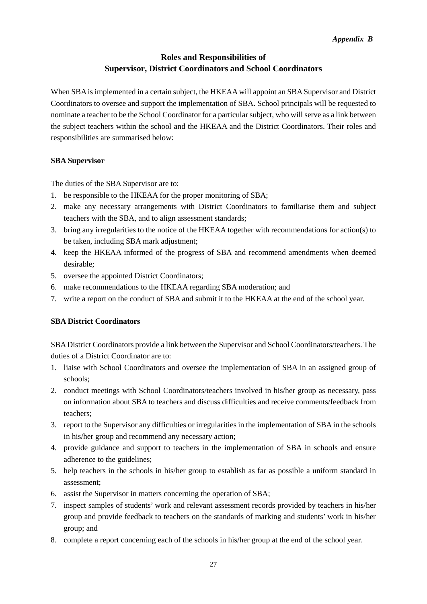# **Roles and Responsibilities of Supervisor, District Coordinators and School Coordinators**

When SBA is implemented in a certain subject, the HKEAA will appoint an SBA Supervisor and District Coordinators to oversee and support the implementation of SBA. School principals will be requested to nominate a teacher to be the School Coordinator for a particular subject, who will serve as a link between the subject teachers within the school and the HKEAA and the District Coordinators. Their roles and responsibilities are summarised below:

# **SBA Supervisor**

The duties of the SBA Supervisor are to:

- 1. be responsible to the HKEAA for the proper monitoring of SBA;
- 2. make any necessary arrangements with District Coordinators to familiarise them and subject teachers with the SBA, and to align assessment standards;
- 3. bring any irregularities to the notice of the HKEAA together with recommendations for action(s) to be taken, including SBA mark adjustment;
- 4. keep the HKEAA informed of the progress of SBA and recommend amendments when deemed desirable;
- 5. oversee the appointed District Coordinators;
- 6. make recommendations to the HKEAA regarding SBA moderation; and
- 7. write a report on the conduct of SBA and submit it to the HKEAA at the end of the school year.

# **SBA District Coordinators**

SBA District Coordinators provide a link between the Supervisor and School Coordinators/teachers. The duties of a District Coordinator are to:

- 1. liaise with School Coordinators and oversee the implementation of SBA in an assigned group of schools;
- 2. conduct meetings with School Coordinators/teachers involved in his/her group as necessary, pass on information about SBA to teachers and discuss difficulties and receive comments/feedback from teachers;
- 3. report to the Supervisor any difficulties or irregularities in the implementation of SBA in the schools in his/her group and recommend any necessary action;
- 4. provide guidance and support to teachers in the implementation of SBA in schools and ensure adherence to the guidelines;
- 5. help teachers in the schools in his/her group to establish as far as possible a uniform standard in assessment;
- 6. assist the Supervisor in matters concerning the operation of SBA;
- 7. inspect samples of students' work and relevant assessment records provided by teachers in his/her group and provide feedback to teachers on the standards of marking and students' work in his/her group; and
- 8. complete a report concerning each of the schools in his/her group at the end of the school year.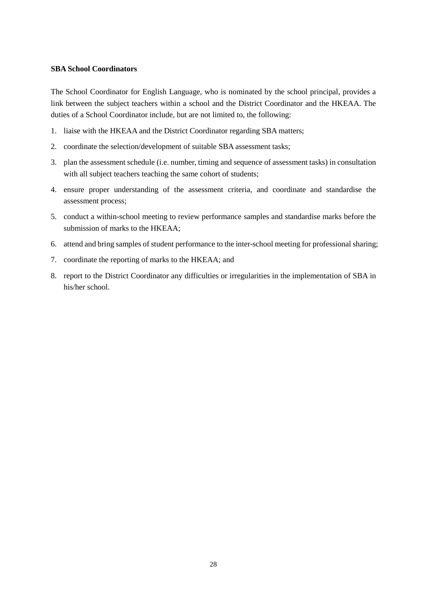### **SBA School Coordinators**

The School Coordinator for English Language, who is nominated by the school principal, provides a link between the subject teachers within a school and the District Coordinator and the HKEAA. The duties of a School Coordinator include, but are not limited to, the following:

- 1. liaise with the HKEAA and the District Coordinator regarding SBA matters;
- 2. coordinate the selection/development of suitable SBA assessment tasks;
- 3. plan the assessment schedule (i.e. number, timing and sequence of assessment tasks) in consultation with all subject teachers teaching the same cohort of students;
- 4. ensure proper understanding of the assessment criteria, and coordinate and standardise the assessment process;
- 5. conduct a within-school meeting to review performance samples and standardise marks before the submission of marks to the HKEAA;
- 6. attend and bring samples of student performance to the inter-school meeting for professional sharing;
- 7. coordinate the reporting of marks to the HKEAA; and
- 8. report to the District Coordinator any difficulties or irregularities in the implementation of SBA in his/her school.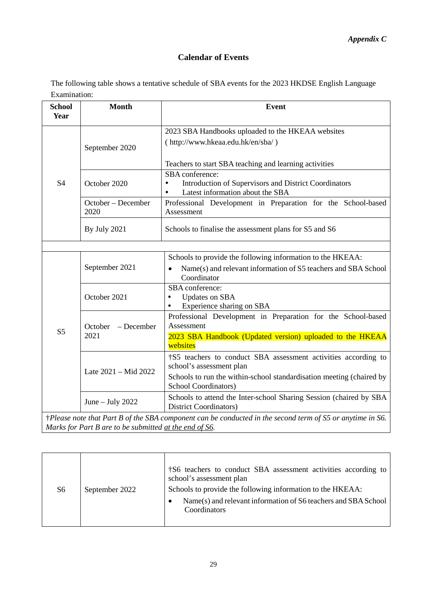# **Calendar of Events**

The following table shows a tentative schedule of SBA events for the 2023 HKDSE English Language Examination:

| <b>School</b><br>Year | <b>Month</b>                                                                                              | <b>Event</b>                                                                                                                                     |  |  |  |
|-----------------------|-----------------------------------------------------------------------------------------------------------|--------------------------------------------------------------------------------------------------------------------------------------------------|--|--|--|
|                       | September 2020                                                                                            | 2023 SBA Handbooks uploaded to the HKEAA websites<br>(http://www.hkeaa.edu.hk/en/sba/)<br>Teachers to start SBA teaching and learning activities |  |  |  |
| S <sub>4</sub>        | October 2020                                                                                              | SBA conference:<br>Introduction of Supervisors and District Coordinators<br>$\bullet$<br>Latest information about the SBA<br>$\bullet$           |  |  |  |
|                       | October – December<br>2020                                                                                | Professional Development in Preparation for the School-based<br>Assessment                                                                       |  |  |  |
|                       | <b>By July 2021</b>                                                                                       | Schools to finalise the assessment plans for S5 and S6                                                                                           |  |  |  |
|                       |                                                                                                           |                                                                                                                                                  |  |  |  |
|                       | September 2021                                                                                            | Schools to provide the following information to the HKEAA:<br>Name(s) and relevant information of S5 teachers and SBA School<br>Coordinator      |  |  |  |
|                       | October 2021                                                                                              | SBA conference:<br><b>Updates on SBA</b><br>$\bullet$<br>Experience sharing on SBA<br>$\bullet$                                                  |  |  |  |
|                       | October<br>- December                                                                                     | Professional Development in Preparation for the School-based<br>Assessment                                                                       |  |  |  |
| S <sub>5</sub>        | 2021                                                                                                      | 2023 SBA Handbook (Updated version) uploaded to the HKEAA<br>websites                                                                            |  |  |  |
|                       |                                                                                                           | †S5 teachers to conduct SBA assessment activities according to<br>school's assessment plan                                                       |  |  |  |
|                       | Late 2021 - Mid 2022                                                                                      | Schools to run the within-school standardisation meeting (chaired by<br>School Coordinators)                                                     |  |  |  |
|                       | June $-$ July 2022                                                                                        | Schools to attend the Inter-school Sharing Session (chaired by SBA<br><b>District Coordinators</b> )                                             |  |  |  |
|                       | †Please note that Part B of the SBA component can be conducted in the second term of S5 or anytime in S6. |                                                                                                                                                  |  |  |  |

*Marks for Part B are to be submitted at the end of S6.* 

| S6 | September 2022 | †S6 teachers to conduct SBA assessment activities according to<br>school's assessment plan<br>Schools to provide the following information to the HKEAA:<br>Name(s) and relevant information of S6 teachers and SBA School<br>٠<br>Coordinators |
|----|----------------|-------------------------------------------------------------------------------------------------------------------------------------------------------------------------------------------------------------------------------------------------|
|----|----------------|-------------------------------------------------------------------------------------------------------------------------------------------------------------------------------------------------------------------------------------------------|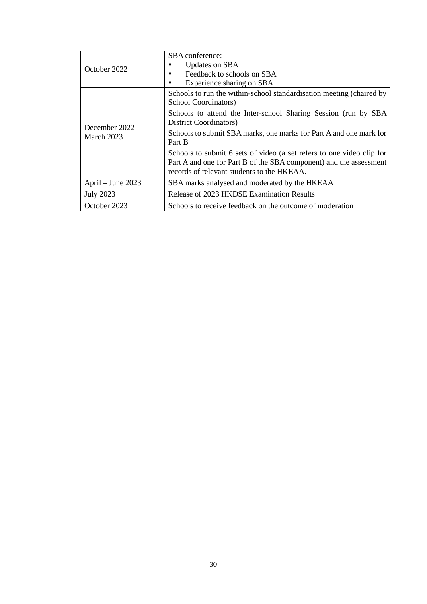|  | October 2022                    | SBA conference:                                                                                                                                                                           |
|--|---------------------------------|-------------------------------------------------------------------------------------------------------------------------------------------------------------------------------------------|
|  |                                 | Updates on SBA                                                                                                                                                                            |
|  |                                 | Feedback to schools on SBA                                                                                                                                                                |
|  |                                 | Experience sharing on SBA                                                                                                                                                                 |
|  |                                 | Schools to run the within-school standardisation meeting (chaired by<br>School Coordinators)                                                                                              |
|  | December $2022 -$<br>March 2023 | Schools to attend the Inter-school Sharing Session (run by SBA)<br><b>District Coordinators</b> )                                                                                         |
|  |                                 | Schools to submit SBA marks, one marks for Part A and one mark for<br>Part B                                                                                                              |
|  |                                 | Schools to submit 6 sets of video (a set refers to one video clip for<br>Part A and one for Part B of the SBA component) and the assessment<br>records of relevant students to the HKEAA. |
|  | April – June 2023               | SBA marks analysed and moderated by the HKEAA                                                                                                                                             |
|  | <b>July 2023</b>                | Release of 2023 HKDSE Examination Results                                                                                                                                                 |
|  | October 2023                    | Schools to receive feedback on the outcome of moderation                                                                                                                                  |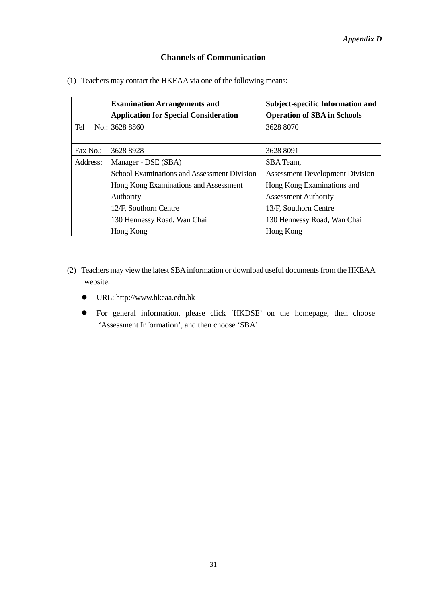# **Channels of Communication**

(1) Teachers may contact the HKEAA via one of the following means:

|          | <b>Examination Arrangements and</b>          | Subject-specific Information and       |
|----------|----------------------------------------------|----------------------------------------|
|          | <b>Application for Special Consideration</b> | <b>Operation of SBA in Schools</b>     |
| Tel      | No.: 3628 8860                               | 3628 8070                              |
|          |                                              |                                        |
| Fax No.: | 36288928                                     | 3628 8091                              |
| Address: | Manager - DSE (SBA)                          | SBA Team,                              |
|          | School Examinations and Assessment Division  | <b>Assessment Development Division</b> |
|          | Hong Kong Examinations and Assessment        | Hong Kong Examinations and             |
|          | Authority                                    | <b>Assessment Authority</b>            |
|          | 12/F, Southorn Centre                        | 13/F, Southorn Centre                  |
|          | 130 Hennessy Road, Wan Chai                  | 130 Hennessy Road, Wan Chai            |
|          | Hong Kong                                    | Hong Kong                              |

- (2) Teachers may view the latest SBAinformation or download useful documents from the HKEAA website:
	- URL: [http://www.hkeaa.edu.hk](http://www.hkeaa.edu.hk/)
	- For general information, please click 'HKDSE' on the homepage, then choose 'Assessment Information', and then choose 'SBA'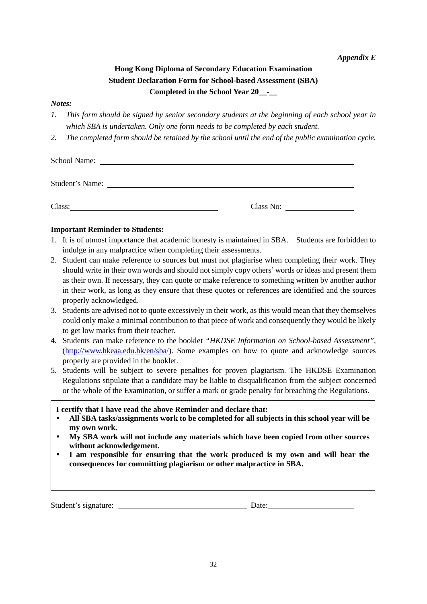*Appendix E* 

# **Hong Kong Diploma of Secondary Education Examination Student Declaration Form for School-based Assessment (SBA) Completed in the School Year 20\_\_-\_\_**

### *Notes:*

- *1. This form should be signed by senior secondary students at the beginning of each school year in which SBA is undertaken. Only one form needs to be completed by each student.*
- *2. The completed form should be retained by the school until the end of the public examination cycle.*

| School Name:<br><u> 1989 - John Stone, amerikansk politiker (* 1989)</u> |           |  |
|--------------------------------------------------------------------------|-----------|--|
| <b>Student's Name:</b>                                                   |           |  |
| Class:                                                                   | Class No: |  |

# **Important Reminder to Students:**

- 1. It is of utmost importance that academic honesty is maintained in SBA. Students are forbidden to indulge in any malpractice when completing their assessments.
- 2. Student can make reference to sources but must not plagiarise when completing their work. They should write in their own words and should not simply copy others' words or ideas and present them as their own. If necessary, they can quote or make reference to something written by another author in their work, as long as they ensure that these quotes or references are identified and the sources properly acknowledged.
- 3. Students are advised not to quote excessively in their work, as this would mean that they themselves could only make a minimal contribution to that piece of work and consequently they would be likely to get low marks from their teacher.
- 4. Students can make reference to the booklet *"HKDSE Information on School-based Assessment"*, [\(http://www.hkeaa.edu.hk/en/sba/\)](http://www.hkeaa.edu.hk/en/sba/). Some examples on how to quote and acknowledge sources properly are provided in the booklet.
- 5. Students will be subject to severe penalties for proven plagiarism. The HKDSE Examination Regulations stipulate that a candidate may be liable to disqualification from the subject concerned or the whole of the Examination, or suffer a mark or grade penalty for breaching the Regulations.

### **I certify that I have read the above Reminder and declare that:**

- **All SBA tasks/assignments work to be completed for all subjects in this school year will be my own work.**
- **My SBA work will not include any materials which have been copied from other sources without acknowledgement.**
- **I am responsible for ensuring that the work produced is my own and will bear the consequences for committing plagiarism or other malpractice in SBA.**

Student's signature: Date: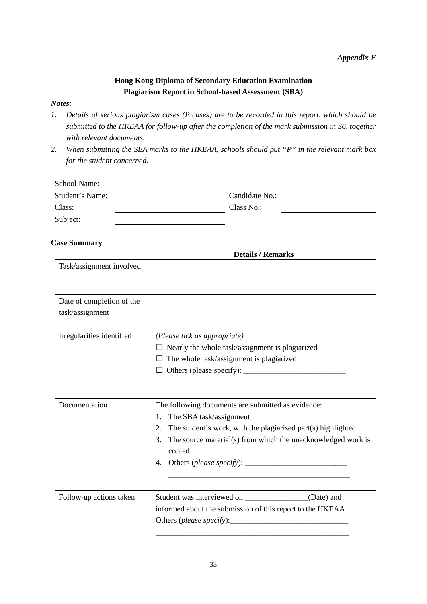# **Hong Kong Diploma of Secondary Education Examination Plagiarism Report in School-based Assessment (SBA)**

# *Notes:*

- *1. Details of serious plagiarism cases (P cases) are to be recorded in this report, which should be submitted to the HKEAA for follow-up after the completion of the mark submission in S6, together with relevant documents.*
- *2. When submitting the SBA marks to the HKEAA, schools should put "P" in the relevant mark box for the student concerned.*

| School Name:    |                |
|-----------------|----------------|
| Student's Name: | Candidate No.: |
| Class:          | Class No.:     |
| Subject:        |                |

# **Case Summary**

|                                              | <b>Details / Remarks</b>                                                                                                                                                                                                                        |
|----------------------------------------------|-------------------------------------------------------------------------------------------------------------------------------------------------------------------------------------------------------------------------------------------------|
| Task/assignment involved                     |                                                                                                                                                                                                                                                 |
| Date of completion of the<br>task/assignment |                                                                                                                                                                                                                                                 |
| Irregularities identified                    | (Please tick as appropriate)<br>$\Box$ Nearly the whole task/assignment is plagiarized<br>The whole task/assignment is plagiarized                                                                                                              |
| Documentation                                | The following documents are submitted as evidence:<br>The SBA task/assignment<br>1.<br>2.<br>The student's work, with the plagiarised part(s) highlighted<br>3.<br>The source material(s) from which the unacknowledged work is<br>copied<br>4. |
| Follow-up actions taken                      | Student was interviewed on _______________(Date) and<br>informed about the submission of this report to the HKEAA.                                                                                                                              |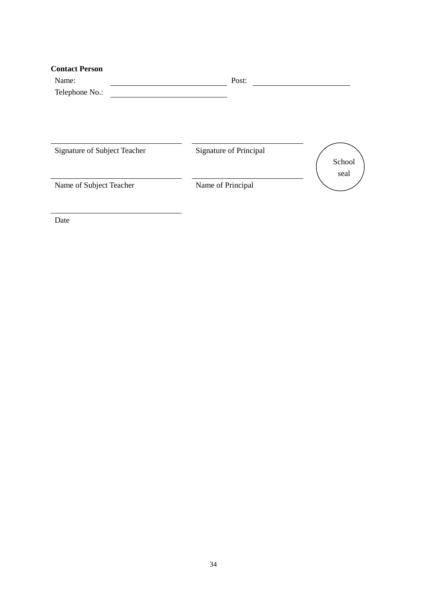| <b>Contact Person</b>        |                        |        |
|------------------------------|------------------------|--------|
| Name:                        | Post:                  |        |
| Telephone No.:               |                        |        |
|                              |                        |        |
| Signature of Subject Teacher | Signature of Principal | School |
| Name of Subject Teacher      | Name of Principal      | seal   |
|                              |                        |        |

Date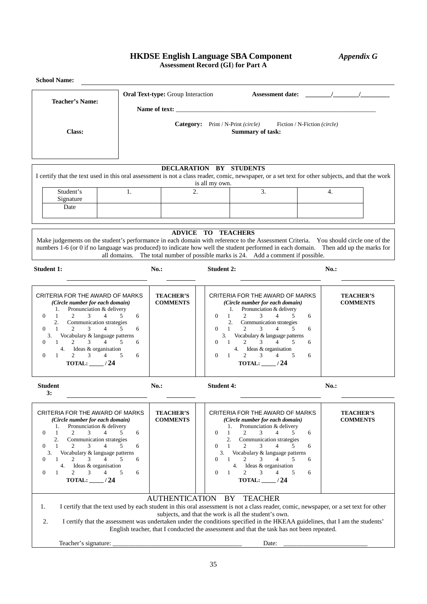# **HKDSE English Language SBA Component** *Appendix G* **Assessment Record (GI**) **for Part A**

| <b>Teacher's Name:</b>                                                                                                                                                                                                                                                                                                                                                                                                                                                                              |                                                                                               |                                                                                                                       |                                                                                                               |                                                                                                                                                                                                                                                                                                                                                                                         |                  |                                     |  |  |
|-----------------------------------------------------------------------------------------------------------------------------------------------------------------------------------------------------------------------------------------------------------------------------------------------------------------------------------------------------------------------------------------------------------------------------------------------------------------------------------------------------|-----------------------------------------------------------------------------------------------|-----------------------------------------------------------------------------------------------------------------------|---------------------------------------------------------------------------------------------------------------|-----------------------------------------------------------------------------------------------------------------------------------------------------------------------------------------------------------------------------------------------------------------------------------------------------------------------------------------------------------------------------------------|------------------|-------------------------------------|--|--|
|                                                                                                                                                                                                                                                                                                                                                                                                                                                                                                     |                                                                                               | <b>Oral Text-type:</b> Group Interaction                                                                              |                                                                                                               |                                                                                                                                                                                                                                                                                                                                                                                         |                  |                                     |  |  |
| Class:                                                                                                                                                                                                                                                                                                                                                                                                                                                                                              | Category: Print / N-Print (circle)<br>Fiction / N-Fiction (circle)<br><b>Summary of task:</b> |                                                                                                                       |                                                                                                               |                                                                                                                                                                                                                                                                                                                                                                                         |                  |                                     |  |  |
| I certify that the text used in this oral assessment is not a class reader, comic, newspaper, or a set text for other subjects, and that the work                                                                                                                                                                                                                                                                                                                                                   |                                                                                               |                                                                                                                       | DECLARATION BY STUDENTS                                                                                       |                                                                                                                                                                                                                                                                                                                                                                                         |                  |                                     |  |  |
| Student's<br>Signature<br>Date                                                                                                                                                                                                                                                                                                                                                                                                                                                                      | 1.                                                                                            | 2.                                                                                                                    | is all my own.                                                                                                | 3.                                                                                                                                                                                                                                                                                                                                                                                      | 4.               |                                     |  |  |
|                                                                                                                                                                                                                                                                                                                                                                                                                                                                                                     |                                                                                               |                                                                                                                       |                                                                                                               |                                                                                                                                                                                                                                                                                                                                                                                         |                  |                                     |  |  |
| Make judgements on the student's performance in each domain with reference to the Assessment Criteria. You should circle one of the<br>numbers 1-6 (or 0 if no language was produced) to indicate how well the student performed in each domain. Then add up the marks for                                                                                                                                                                                                                          |                                                                                               |                                                                                                                       | <b>ADVICE TO TEACHERS</b>                                                                                     | all domains. The total number of possible marks is 24. Add a comment if possible.                                                                                                                                                                                                                                                                                                       |                  |                                     |  |  |
| <b>Student 1:</b>                                                                                                                                                                                                                                                                                                                                                                                                                                                                                   | $No.$ :                                                                                       |                                                                                                                       | <b>Student 2:</b>                                                                                             |                                                                                                                                                                                                                                                                                                                                                                                         | $No.$ :          |                                     |  |  |
| CRITERIA FOR THE AWARD OF MARKS<br>(Circle number for each domain)<br>Pronunciation & delivery<br>1.<br>$\overline{4}$<br>$\Omega$<br>$\mathbf{1}$<br>$\mathfrak{D}$<br>3<br>5<br>2.<br>Communication strategies<br>2<br>3<br>$\overline{4}$<br>$\Omega$<br>$\mathbf{1}$<br>5<br>Vocabulary & language patterns<br>3.<br>3<br>$\overline{4}$<br>5<br>$\overline{2}$<br>$\Omega$<br>1<br>4. Ideas & organisation<br>$\overline{2}$<br>3<br>$\Omega$<br>$\overline{4}$<br>5<br>1<br>TOTAL: $\_\_\/24$ | 6<br>6<br>6<br>6                                                                              | <b>TEACHER'S</b><br><b>COMMENTS</b>                                                                                   | 1.<br>$\Omega$<br>$\mathbf{1}$<br>2.<br>$\Omega$<br>-1<br>3.<br>$\Omega$<br>-1<br>$\Omega$<br>-1              | CRITERIA FOR THE AWARD OF MARKS<br>(Circle number for each domain)<br>Pronunciation & delivery<br>$\overline{2}$<br>3<br>$\overline{4}$<br>.5<br>Communication strategies<br>$\overline{2}$<br>3<br>$\overline{4}$<br>5<br>Vocabulary & language patterns<br>3<br>$\overline{4}$<br>2<br>5<br>4. Ideas & organisation<br>$\overline{2}$<br>3<br>$\overline{4}$<br>5<br>TOTAL: $\_\_/24$ | 6<br>6<br>6<br>6 | <b>TEACHER'S</b><br><b>COMMENTS</b> |  |  |
| Student<br>3:                                                                                                                                                                                                                                                                                                                                                                                                                                                                                       | $No.$ :                                                                                       |                                                                                                                       | <b>Student 4:</b>                                                                                             |                                                                                                                                                                                                                                                                                                                                                                                         | $No.$ :          |                                     |  |  |
| CRITERIA FOR THE AWARD OF MARKS<br>(Circle number for each domain)<br>Pronunciation & delivery<br>1.<br>$\overline{0}$<br>1<br>2<br>$\overline{4}$<br>3<br>5<br>2.<br>Communication strategies<br>$\overline{0}$<br>3<br>$\overline{4}$<br>1<br>2<br>5<br>Vocabulary & language patterns<br>3.<br>$\overline{0}$<br>2<br>3<br>$\overline{4}$<br>1<br>5<br>4.<br>Ideas & organisation<br>$\overline{c}$<br>$\overline{0}$<br>3<br>5<br>1<br>4<br>TOTAL: $\_\_\_\/24$                                 | 6<br>6<br>6<br>6                                                                              | <b>TEACHER'S</b><br><b>COMMENTS</b>                                                                                   | 1.<br>$\Omega$<br>1<br>$\overline{2}$ .<br>$\Omega$<br>-1<br>3.<br>$\Omega$<br>-1<br>4.<br>$\mathbf{0}$<br>-1 | CRITERIA FOR THE AWARD OF MARKS<br>(Circle number for each domain)<br>Pronunciation & delivery<br>2<br>$\overline{4}$<br>3<br>5.<br>Communication strategies<br>2<br>3<br>4<br>5<br>Vocabulary & language patterns<br>2<br>3<br>4<br>5<br>Ideas & organisation<br>$\overline{c}$<br>3<br>5<br>4<br>TOTAL: $\_\_$ /24                                                                    | 6<br>6<br>6<br>6 | <b>TEACHER'S</b><br><b>COMMENTS</b> |  |  |
| I certify that the text used by each student in this oral assessment is not a class reader, comic, newspaper, or a set text for other<br>1.<br>I certify that the assessment was undertaken under the conditions specified in the HKEAA guidelines, that I am the students'<br>2.                                                                                                                                                                                                                   |                                                                                               | <b>AUTHENTICATION</b>                                                                                                 | BY                                                                                                            | <b>TEACHER</b><br>subjects, and that the work is all the student's own.                                                                                                                                                                                                                                                                                                                 |                  |                                     |  |  |
| Teacher's signature:                                                                                                                                                                                                                                                                                                                                                                                                                                                                                |                                                                                               | <u> 1989 - Johann Barbara, martin amerikan basal dan berasal dalam basal dalam basal dalam basal dalam basal dala</u> |                                                                                                               | English teacher, that I conducted the assessment and that the task has not been repeated.<br>Date:                                                                                                                                                                                                                                                                                      |                  |                                     |  |  |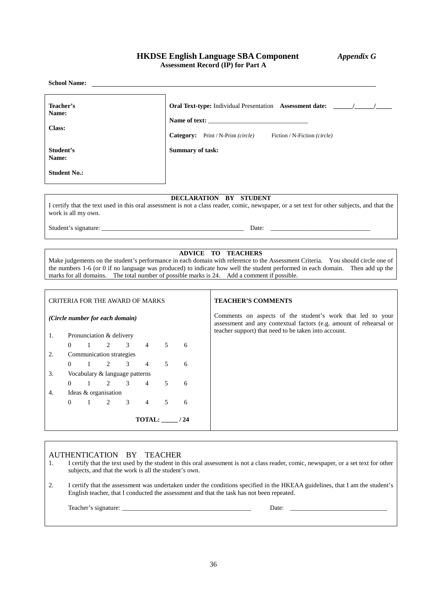### **HKDSE English Language SBA Component** *Appendix G* **Assessment Record (IP) for Part A**

**School Name: Teacher's Name: Oral Text-type:** Individual Presentation **Assessment date: \_\_\_\_\_\_/\_\_\_\_\_\_/\_\_\_\_\_ Class:** Name of text: **Category:** Print / N-Print *(circle)* Fiction / N-Fiction *(circle)* **Student's Name: Summary of task: Student No.: DECLARATION BY STUDENT** I certify that the text used in this oral assessment is not a class reader, comic, newspaper, or a set text for other subjects, and that the work is all my own. Student's signature: \_\_\_\_\_\_\_\_\_\_\_\_\_\_\_\_\_\_\_\_\_\_\_\_\_\_\_\_\_\_\_\_\_\_\_\_\_\_\_\_\_\_\_\_ Date: \_\_\_\_\_\_\_\_\_\_\_\_\_\_\_\_\_\_\_\_\_\_\_\_\_\_\_\_\_\_\_

### **ADVICE TO TEACHERS**

Make judgements on the student's performance in each domain with reference to the Assessment Criteria. You should circle one of the numbers 1-6 (or 0 if no language was produced) to indicate how well the student performed in each domain. Then add up the marks for all domains. The total number of possible marks is 24. Add a comment if possible.

| CRITERIA FOR THE AWARD OF MARKS |          |  |                                     |  |                 |        |      | <b>TEACHER'S COMMENTS</b>                                                                                                        |
|---------------------------------|----------|--|-------------------------------------|--|-----------------|--------|------|----------------------------------------------------------------------------------------------------------------------------------|
| (Circle number for each domain) |          |  |                                     |  |                 |        |      | Comments on aspects of the student's work that led to your<br>assessment and any contextual factors (e.g. amount of rehearsal or |
| 1.                              |          |  | Pronunciation & delivery            |  |                 |        |      | teacher support) that need to be taken into account.                                                                             |
|                                 | $\Omega$ |  | $1 \quad 2 \quad 3 \quad 4$         |  |                 | $\sim$ | 6    |                                                                                                                                  |
| 2.                              |          |  | Communication strategies            |  |                 |        |      |                                                                                                                                  |
|                                 | $\Omega$ |  | $1 \quad 2 \quad 3 \quad 4 \quad 5$ |  |                 |        | 6    |                                                                                                                                  |
| 3.                              |          |  | Vocabulary & language patterns      |  |                 |        |      |                                                                                                                                  |
|                                 | $\Omega$ |  | $1 \quad 2 \quad 3 \quad 4 \quad 5$ |  |                 |        | 6    |                                                                                                                                  |
| 4.                              |          |  | Ideas & organisation                |  |                 |        |      |                                                                                                                                  |
|                                 | $\Omega$ |  | 2 3                                 |  | $4\overline{ }$ | .5     | 6    |                                                                                                                                  |
|                                 |          |  |                                     |  | <b>TOTAL:</b>   |        | ' 24 |                                                                                                                                  |

#### AUTHENTICATION BY TEACHER

- 1. I certify that the text used by the student in this oral assessment is not a class reader, comic, newspaper, or a set text for other subjects, and that the work is all the student's own.
- 2. I certify that the assessment was undertaken under the conditions specified in the HKEAA guidelines, that I am the student's English teacher, that I conducted the assessment and that the task has not been repeated.

| $\sim$<br>∣∩h<br>$\sim$ $\sim$<br>геас<br>. | Jate <sup>-</sup><br>. |  |
|---------------------------------------------|------------------------|--|
|                                             |                        |  |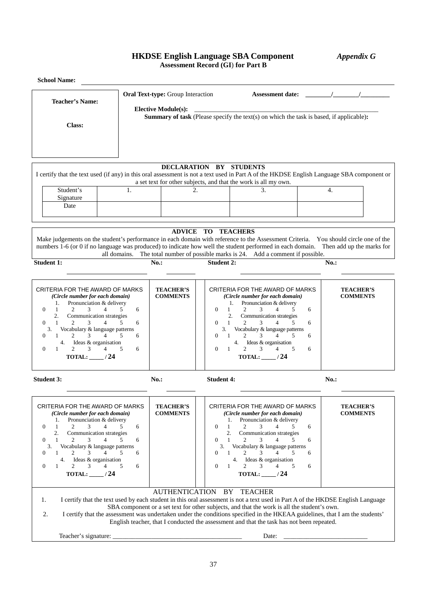# **HKDSE English Language SBA Component** *Appendix G* **Assessment Record (GI**) **for Part B**

| <b>School Name:</b>                                                                                                                                                                                                                                                                                                                                                                                                                                                  |                                                                                                                                                                                                                                                                                                                                                                                                                                                             |                                                                                                                                                       |                                                                                                                                                                                                                                                                                                                                                                              |                                     |  |  |  |  |
|----------------------------------------------------------------------------------------------------------------------------------------------------------------------------------------------------------------------------------------------------------------------------------------------------------------------------------------------------------------------------------------------------------------------------------------------------------------------|-------------------------------------------------------------------------------------------------------------------------------------------------------------------------------------------------------------------------------------------------------------------------------------------------------------------------------------------------------------------------------------------------------------------------------------------------------------|-------------------------------------------------------------------------------------------------------------------------------------------------------|------------------------------------------------------------------------------------------------------------------------------------------------------------------------------------------------------------------------------------------------------------------------------------------------------------------------------------------------------------------------------|-------------------------------------|--|--|--|--|
| <b>Teacher's Name:</b>                                                                                                                                                                                                                                                                                                                                                                                                                                               | Oral Text-type: Group Interaction                                                                                                                                                                                                                                                                                                                                                                                                                           |                                                                                                                                                       |                                                                                                                                                                                                                                                                                                                                                                              | Assessment date: $\frac{1}{2}$ /    |  |  |  |  |
| Class:                                                                                                                                                                                                                                                                                                                                                                                                                                                               | <b>Elective Module(s):</b>                                                                                                                                                                                                                                                                                                                                                                                                                                  | <b>Summary of task</b> (Please specify the text(s) on which the task is based, if applicable):                                                        |                                                                                                                                                                                                                                                                                                                                                                              |                                     |  |  |  |  |
| I certify that the text used (if any) in this oral assessment is not a text used in Part A of the HKDSE English Language SBA component or                                                                                                                                                                                                                                                                                                                            | a set text for other subjects, and that the work is all my own.                                                                                                                                                                                                                                                                                                                                                                                             | DECLARATION BY STUDENTS                                                                                                                               |                                                                                                                                                                                                                                                                                                                                                                              |                                     |  |  |  |  |
| Student's<br>Signature<br>Date                                                                                                                                                                                                                                                                                                                                                                                                                                       | 1.                                                                                                                                                                                                                                                                                                                                                                                                                                                          | 2.                                                                                                                                                    | 3.                                                                                                                                                                                                                                                                                                                                                                           | $\overline{4}$ .                    |  |  |  |  |
| Make judgements on the student's performance in each domain with reference to the Assessment Criteria. You should circle one of the<br>numbers 1-6 (or 0 if no language was produced) to indicate how well the student performed in each domain. Then add up the marks for                                                                                                                                                                                           | all domains.                                                                                                                                                                                                                                                                                                                                                                                                                                                | <b>ADVICE TO TEACHERS</b>                                                                                                                             | The total number of possible marks is 24. Add a comment if possible.                                                                                                                                                                                                                                                                                                         |                                     |  |  |  |  |
| <b>Student 1:</b>                                                                                                                                                                                                                                                                                                                                                                                                                                                    | $No.$ :                                                                                                                                                                                                                                                                                                                                                                                                                                                     | <b>Student 2:</b>                                                                                                                                     |                                                                                                                                                                                                                                                                                                                                                                              | $No.$ :                             |  |  |  |  |
| CRITERIA FOR THE AWARD OF MARKS<br>(Circle number for each domain)<br>Pronunciation & delivery<br>1.<br>4<br>$\Omega$<br>$\mathbf{1}$<br>2<br>3<br>2.<br>Communication strategies<br>$\mathbf{1}$<br>2<br>3<br>4<br>$\Omega$<br>Vocabulary & language patterns<br>3.<br>$\mathbf{1}$<br>3<br>$\Omega$<br>2<br>Ideas & organisation<br>4.<br>$2^{\circ}$<br>$\mathfrak{Z}$<br>$\overline{4}$<br>$\theta$<br>1<br>TOTAL: $\_\_\/24$                                    | <b>TEACHER'S</b><br><b>COMMENTS</b><br>6<br>5<br>6<br>.5<br>6<br>5<br>6                                                                                                                                                                                                                                                                                                                                                                                     | 1.<br>$\Omega$<br>$\mathbf{1}$<br>2<br>2.<br>$\Omega$<br>$\mathbf{1}$<br>2<br>3.<br>$\overline{1}$<br>$\overline{2}$<br>0<br>$\Omega$<br>$\mathbf{1}$ | CRITERIA FOR THE AWARD OF MARKS<br>(Circle number for each domain)<br>Pronunciation & delivery<br>6<br>3<br>4<br>5<br>Communication strategies<br>3<br>4<br>5<br>6<br>Vocabulary & language patterns<br>3<br>5<br>6<br>4. Ideas & organisation<br>$\overline{2}$<br>3<br>5<br>4<br>6<br>TOTAL: $\frac{1}{24}$                                                                | <b>TEACHER'S</b><br><b>COMMENTS</b> |  |  |  |  |
| <b>Student 3:</b>                                                                                                                                                                                                                                                                                                                                                                                                                                                    | $No.$ :                                                                                                                                                                                                                                                                                                                                                                                                                                                     | <b>Student 4:</b>                                                                                                                                     |                                                                                                                                                                                                                                                                                                                                                                              | No.                                 |  |  |  |  |
| CRITERIA FOR THE AWARD OF MARKS<br>(Circle number for each domain)<br>Pronunciation & delivery<br>1.<br>$\boldsymbol{0}$<br>1<br>2<br>3<br>4<br>2.<br>Communication strategies<br>$\overline{4}$<br>$\theta$<br>1<br>$\overline{2}$<br>3<br>Vocabulary & language patterns<br>3.<br>1<br>$\overline{2}$<br>3<br>$\overline{4}$<br>$\theta$<br>Ideas & organisation<br>4.<br>$\overline{2}$<br>3 <sup>7</sup><br>$\theta$<br>$\overline{4}$<br>1<br>TOTAL: $\_\_\/24$ | <b>TEACHER'S</b><br><b>COMMENTS</b><br>6<br>5.<br>5<br>6<br>5<br>6<br>5<br>6                                                                                                                                                                                                                                                                                                                                                                                | 1.<br>$\mathbf{1}$<br>$\Omega$<br>2<br>2.<br>$\mathbf{1}$<br>$\Omega$<br>3.<br>$\Omega$<br>$\overline{1}$<br>$\mathbf{0}$<br>-1                       | CRITERIA FOR THE AWARD OF MARKS<br>(Circle number for each domain)<br>Pronunciation & delivery<br>3<br>4<br>5<br>6<br>Communication strategies<br>$\overline{4}$<br>$\overline{2}$<br>3<br>5<br>6<br>Vocabulary & language patterns<br>$\overline{2}$<br>3<br>4<br>5<br>6<br>4. Ideas & organisation<br>$\overline{2}$<br>3 <sup>7</sup><br>4<br>5<br>6<br>TOTAL: $\_\_$ /24 | <b>TEACHER'S</b><br><b>COMMENTS</b> |  |  |  |  |
| 1.<br>2.                                                                                                                                                                                                                                                                                                                                                                                                                                                             | I certify that the text used by each student in this oral assessment is not a text used in Part A of the HKDSE English Language<br>SBA component or a set text for other subjects, and that the work is all the student's own.<br>I certify that the assessment was undertaken under the conditions specified in the HKEAA guidelines, that I am the students'<br>English teacher, that I conducted the assessment and that the task has not been repeated. | AUTHENTICATION BY TEACHER                                                                                                                             |                                                                                                                                                                                                                                                                                                                                                                              |                                     |  |  |  |  |
|                                                                                                                                                                                                                                                                                                                                                                                                                                                                      |                                                                                                                                                                                                                                                                                                                                                                                                                                                             |                                                                                                                                                       | Date:                                                                                                                                                                                                                                                                                                                                                                        |                                     |  |  |  |  |
|                                                                                                                                                                                                                                                                                                                                                                                                                                                                      |                                                                                                                                                                                                                                                                                                                                                                                                                                                             | 37                                                                                                                                                    |                                                                                                                                                                                                                                                                                                                                                                              |                                     |  |  |  |  |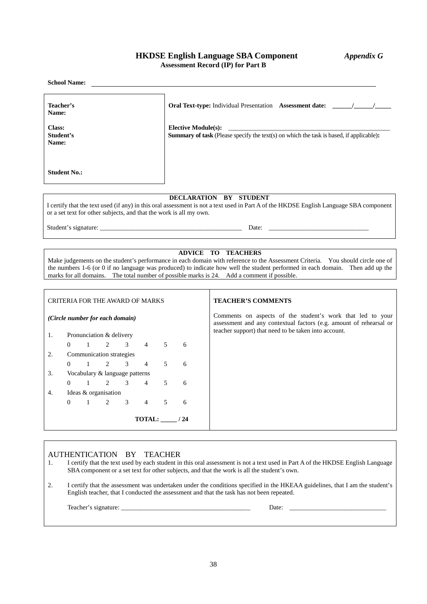# **HKDSE English Language SBA Component** *Appendix G* **Assessment Record (IP) for Part B**

|                              | <b>School Name:</b>                                  |                |                |                |   |                                                                    |                                                                                                                                                                                                                                                                                                                                                                                       |
|------------------------------|------------------------------------------------------|----------------|----------------|----------------|---|--------------------------------------------------------------------|---------------------------------------------------------------------------------------------------------------------------------------------------------------------------------------------------------------------------------------------------------------------------------------------------------------------------------------------------------------------------------------|
| Name:                        | Teacher's                                            |                |                |                |   |                                                                    |                                                                                                                                                                                                                                                                                                                                                                                       |
| Class:<br>Student's<br>Name: |                                                      |                |                |                |   | <b>Elective Module(s):</b>                                         | Summary of task (Please specify the text(s) on which the task is based, if applicable):                                                                                                                                                                                                                                                                                               |
|                              | <b>Student No.:</b>                                  |                |                |                |   |                                                                    |                                                                                                                                                                                                                                                                                                                                                                                       |
|                              |                                                      |                |                |                |   | or a set text for other subjects, and that the work is all my own. | DECLARATION BY STUDENT<br>I certify that the text used (if any) in this oral assessment is not a text used in Part A of the HKDSE English Language SBA component                                                                                                                                                                                                                      |
|                              |                                                      |                |                |                |   |                                                                    |                                                                                                                                                                                                                                                                                                                                                                                       |
|                              |                                                      |                |                |                |   |                                                                    | ADVICE TO TEACHERS<br>Make judgements on the student's performance in each domain with reference to the Assessment Criteria. You should circle one of<br>the numbers 1-6 (or 0 if no language was produced) to indicate how well the student performed in each domain. Then add up the<br>marks for all domains. The total number of possible marks is 24. Add a comment if possible. |
|                              | <b>CRITERIA FOR THE AWARD OF MARKS</b>               |                |                |                |   |                                                                    | <b>TEACHER'S COMMENTS</b>                                                                                                                                                                                                                                                                                                                                                             |
|                              | (Circle number for each domain)                      |                |                |                |   |                                                                    | Comments on aspects of the student's work that led to your<br>assessment and any contextual factors (e.g. amount of rehearsal or<br>teacher support) that need to be taken into account.                                                                                                                                                                                              |
| 1.                           | Pronunciation & delivery<br>$\Omega$<br>$\mathbf{1}$ | $\overline{2}$ | $\mathcal{Z}$  | $\overline{4}$ | 5 | 6                                                                  |                                                                                                                                                                                                                                                                                                                                                                                       |
| 2.                           | Communication strategies                             |                |                |                |   |                                                                    |                                                                                                                                                                                                                                                                                                                                                                                       |
|                              | $\mathbf{1}$<br>$\Omega$                             | 2              | $\overline{3}$ | $\overline{4}$ | 5 | 6                                                                  |                                                                                                                                                                                                                                                                                                                                                                                       |
| 3.                           | Vocabulary & language patterns                       |                |                |                |   |                                                                    |                                                                                                                                                                                                                                                                                                                                                                                       |
|                              | $\Omega$<br>$\mathbf{1}$                             | $\overline{2}$ | 3              | $\overline{4}$ | 5 | 6                                                                  |                                                                                                                                                                                                                                                                                                                                                                                       |
| 4.                           | Ideas & organisation<br>$\mathbf{1}$<br>$\Omega$     | $\mathfrak{D}$ | $\mathfrak{Z}$ | $\overline{4}$ | 5 | 6                                                                  |                                                                                                                                                                                                                                                                                                                                                                                       |
|                              | TOTAL: ____ / 24                                     |                |                |                |   |                                                                    |                                                                                                                                                                                                                                                                                                                                                                                       |

### AUTHENTICATION BY TEACHER

- 1. I certify that the text used by each student in this oral assessment is not a text used in Part A of the HKDSE English Language SBA component or a set text for other subjects, and that the work is all the student's own.
- 2. I certify that the assessment was undertaken under the conditions specified in the HKEAA guidelines, that I am the student's English teacher, that I conducted the assessment and that the task has not been repeated.

| $\sim$<br>$\sim$ $\sim$<br>-210<br>. | Date: |  |
|--------------------------------------|-------|--|
|                                      |       |  |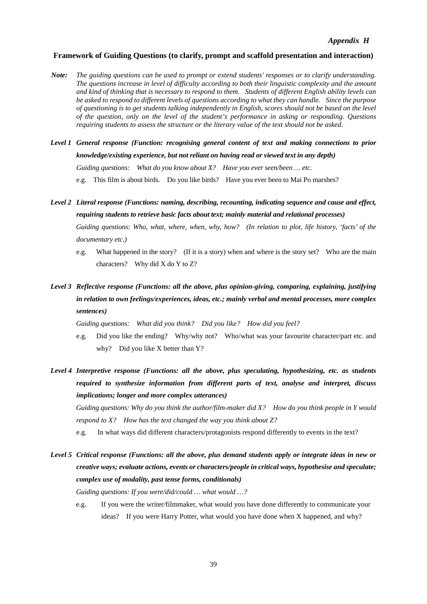### **Framework of Guiding Questions (to clarify, prompt and scaffold presentation and interaction)**

- *Note: The guiding questions can be used to prompt or extend students' responses or to clarify understanding. The questions increase in level of difficulty according to both their linguistic complexity and the amount and kind of thinking that is necessary to respond to them. Students of different English ability levels can be asked to respond to different levels of questions according to what they can handle. Since the purpose of questioning is to get students talking independently in English, scores should not be based on the level of the question, only on the level of the student's performance in asking or responding. Questions requiring students to assess the structure or the literary value of the text should not be asked.*
- *Level 1 General response (Function: recognising general content of text and making connections to prior knowledge/existing experience, but not reliant on having read or viewed text in any depth) Guiding questions: What do you know about X? Have you ever seen/been … etc.*  e.g. This film is about birds. Do you like birds? Have you ever been to Mai Po marshes?
- *Level 2 Literal response (Functions: naming, describing, recounting, indicating sequence and cause and effect, requiring students to retrieve basic facts about text; mainly material and relational processes)*

*Guiding questions: Who, what, where, when, why, how? (In relation to plot, life history, 'facts' of the documentary etc.)* 

- e.g. What happened in the story? (If it is a story) when and where is the story set? Who are the main characters? Why did X do Y to Z?
- *Level 3 Reflective response (Functions: all the above, plus opinion-giving, comparing, explaining, justifying in relation to own feelings/experiences, ideas, etc.; mainly verbal and mental processes, more complex sentences)*

*Guiding questions: What did you think? Did you like? How did you feel?* 

- e.g. Did you like the ending? Why/why not? Who/what was your favourite character/part etc. and why? Did you like X better than Y?
- *Level 4 Interpretive response (Functions: all the above, plus speculating, hypothesizing, etc. as students required to synthesize information from different parts of text, analyse and interpret, discuss implications; longer and more complex utterances)*

*Guiding questions: Why do you think the author/film-maker did X? How do you think people in Y would respond to X? How has the text changed the way you think about Z?* 

- e.g. In what ways did different characters/protagonists respond differently to events in the text?
- *Level 5 Critical response (Functions: all the above, plus demand students apply or integrate ideas in new or creative ways; evaluate actions, events or characters/people in critical ways, hypothesise and speculate; complex use of modality, past tense forms, conditionals)*

*Guiding questions: If you were/did/could … what would …?* 

e.g. If you were the writer/filmmaker, what would you have done differently to communicate your ideas? If you were Harry Potter, what would you have done when X happened, and why?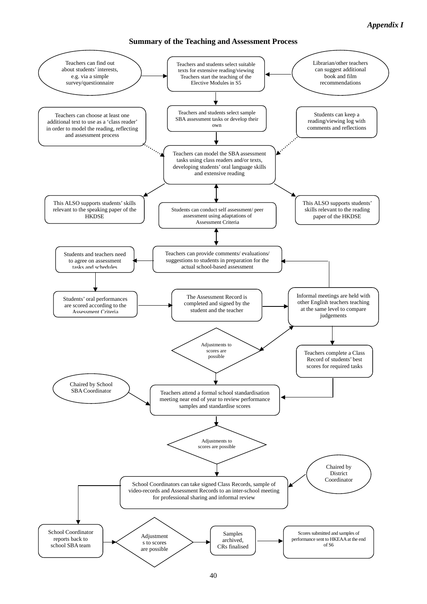# **Summary of the Teaching and Assessment Process**

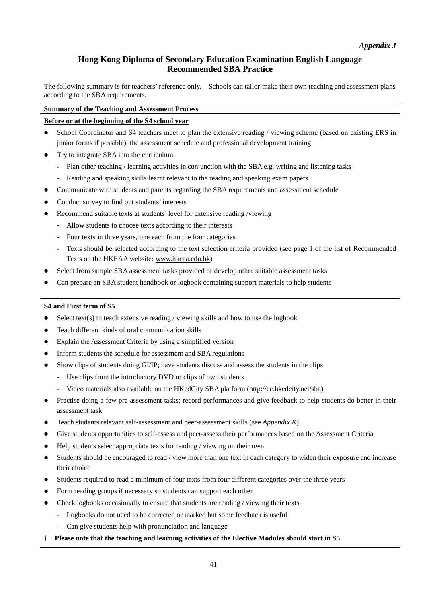# **Hong Kong Diploma of Secondary Education Examination English Language Recommended SBA Practice**

The following summary is for teachers' reference only. Schools can tailor-make their own teaching and assessment plans according to the SBA requirements.

### **Summary of the Teaching and Assessment Process**

# **Before or at the beginning of the S4 school year**

- School Coordinator and S4 teachers meet to plan the extensive reading / viewing scheme (based on existing ERS in junior forms if possible), the assessment schedule and professional development training
- Try to integrate SBA into the curriculum
	- Plan other teaching / learning activities in conjunction with the SBA e.g. writing and listening tasks
	- Reading and speaking skills learnt relevant to the reading and speaking exam papers
- Communicate with students and parents regarding the SBA requirements and assessment schedule
- Conduct survey to find out students' interests
- Recommend suitable texts at students' level for extensive reading /viewing
	- Allow students to choose texts according to their interests
	- Four texts in three years, one each from the four categories
	- Texts should be selected according to the text selection criteria provided (see page 1 of the list of Recommended Texts on the HKEAA website: www.hkeaa.edu.hk)
- Select from sample SBA assessment tasks provided or develop other suitable assessment tasks
- Can prepare an SBA student handbook or logbook containing support materials to help students

### **S4 and First term of S5**

- $\bullet$  Select text(s) to teach extensive reading / viewing skills and how to use the logbook
- Teach different kinds of oral communication skills
- Explain the Assessment Criteria by using a simplified version
- Inform students the schedule for assessment and SBA regulations
- Show clips of students doing GI/IP; have students discuss and assess the students in the clips
	- Use clips from the introductory DVD or clips of own students
	- Video materials also available on the HKedCity SBA platform (http://ec.hkedcity.net/sba)
- Practise doing a few pre-assessment tasks; record performances and give feedback to help students do better in their assessment task
- Teach students relevant self-assessment and peer-assessment skills (see *Appendix K*)
- Give students opportunities to self-assess and peer-assess their performances based on the Assessment Criteria
- Help students select appropriate texts for reading / viewing on their own
- Students should be encouraged to read / view more than one text in each category to widen their exposure and increase their choice
- Students required to read a minimum of four texts from four different categories over the three years
- Form reading groups if necessary so students can support each other
- Check logbooks occasionally to ensure that students are reading / viewing their texts
	- Logbooks do not need to be corrected or marked but some feedback is useful
	- Can give students help with pronunciation and language
- † **Please note that the teaching and learning activities of the Elective Modules should start in S5**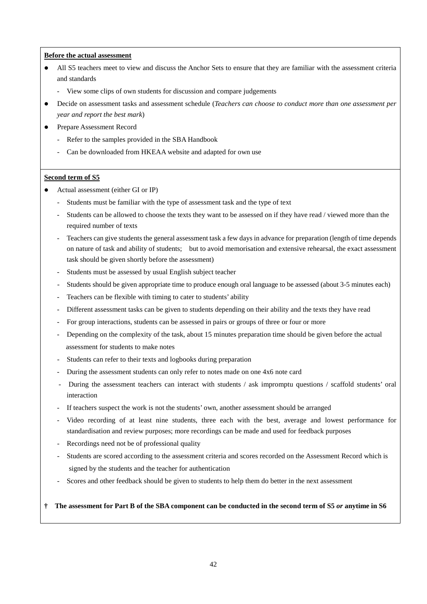#### **Before the actual assessment**

- All S5 teachers meet to view and discuss the Anchor Sets to ensure that they are familiar with the assessment criteria and standards
	- View some clips of own students for discussion and compare judgements
- Decide on assessment tasks and assessment schedule (*Teachers can choose to conduct more than one assessment per year and report the best mark*)
- Prepare Assessment Record
	- Refer to the samples provided in the SBA Handbook
	- Can be downloaded from HKEAA website and adapted for own use

#### **Second term of S5**

- Actual assessment (either GI or IP)
	- Students must be familiar with the type of assessment task and the type of text
	- Students can be allowed to choose the texts they want to be assessed on if they have read / viewed more than the required number of texts
	- Teachers can give students the general assessment task a few days in advance for preparation (length of time depends on nature of task and ability of students; but to avoid memorisation and extensive rehearsal, the exact assessment task should be given shortly before the assessment)
	- Students must be assessed by usual English subject teacher
	- Students should be given appropriate time to produce enough oral language to be assessed (about 3-5 minutes each)
	- Teachers can be flexible with timing to cater to students' ability
	- Different assessment tasks can be given to students depending on their ability and the texts they have read
	- For group interactions, students can be assessed in pairs or groups of three or four or more
	- Depending on the complexity of the task, about 15 minutes preparation time should be given before the actual assessment for students to make notes
	- Students can refer to their texts and logbooks during preparation
	- During the assessment students can only refer to notes made on one 4x6 note card
	- During the assessment teachers can interact with students / ask impromptu questions / scaffold students' oral interaction
	- If teachers suspect the work is not the students' own, another assessment should be arranged
	- Video recording of at least nine students, three each with the best, average and lowest performance for standardisation and review purposes; more recordings can be made and used for feedback purposes
	- Recordings need not be of professional quality
	- Students are scored according to the assessment criteria and scores recorded on the Assessment Record which is signed by the students and the teacher for authentication
	- Scores and other feedback should be given to students to help them do better in the next assessment

#### **† The assessment for Part B of the SBA component can be conducted in the second term of S5** *or* **anytime in S6**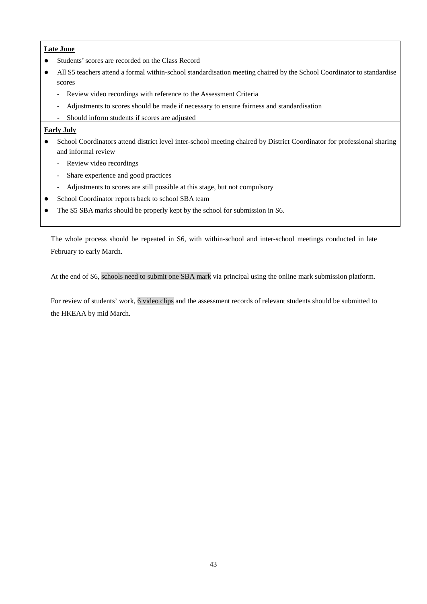### **Late June**

- Students' scores are recorded on the Class Record
- All S5 teachers attend a formal within-school standardisation meeting chaired by the School Coordinator to standardise scores
	- Review video recordings with reference to the Assessment Criteria
	- Adjustments to scores should be made if necessary to ensure fairness and standardisation
	- Should inform students if scores are adjusted

### **Early July**

- School Coordinators attend district level inter-school meeting chaired by District Coordinator for professional sharing and informal review
	- Review video recordings
	- Share experience and good practices
	- Adjustments to scores are still possible at this stage, but not compulsory
- School Coordinator reports back to school SBA team
- The S5 SBA marks should be properly kept by the school for submission in S6.

The whole process should be repeated in S6, with within-school and inter-school meetings conducted in late February to early March.

At the end of S6, schools need to submit one SBA mark via principal using the online mark submission platform.

For review of students' work, 6 video clips and the assessment records of relevant students should be submitted to the HKEAA by mid March.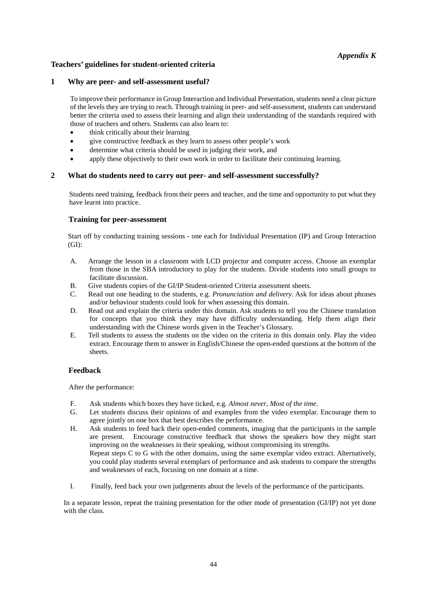# *Appendix K*

### **Teachers' guidelines for student-oriented criteria**

### **1 Why are peer- and self-assessment useful?**

To improve their performance in Group Interaction and Individual Presentation, students need a clear picture of the levels they are trying to reach. Through training in peer- and self-assessment, students can understand better the criteria used to assess their learning and align their understanding of the standards required with those of teachers and others. Students can also learn to:

- think critically about their learning
- give constructive feedback as they learn to assess other people's work
- determine what criteria should be used in judging their work, and
- apply these objectively to their own work in order to facilitate their continuing learning.

### **2 What do students need to carry out peer- and self-assessment successfully?**

Students need training, feedback from their peers and teacher, and the time and opportunity to put what they have learnt into practice.

### **Training for peer-assessment**

Start off by conducting training sessions - one each for Individual Presentation (IP) and Group Interaction (GI):

- A. Arrange the lesson in a classroom with LCD projector and computer access. Choose an exemplar from those in the SBA introductory to play for the students. Divide students into small groups to facilitate discussion.
- B. Give students copies of the GI/IP Student-oriented Criteria assessment sheets.
- C. Read out one heading to the students, e.g. *Pronunciation and delivery*. Ask for ideas about phrases and/or behaviour students could look for when assessing this domain.
- D. Read out and explain the criteria under this domain. Ask students to tell you the Chinese translation for concepts that you think they may have difficulty understanding. Help them align their understanding with the Chinese words given in the Teacher's Glossary.
- E. Tell students to assess the students on the video on the criteria in this domain only. Play the video extract. Encourage them to answer in English/Chinese the open-ended questions at the bottom of the sheets.

### **Feedback**

After the performance:

- F. Ask students which boxes they have ticked, e.g. *Almost never*, *Most of the time*.
- Let students discuss their opinions of and examples from the video exemplar. Encourage them to agree jointly on one box that best describes the performance.
- H. Ask students to feed back their open-ended comments, imaging that the participants in the sample are present. Encourage constructive feedback that shows the speakers how they might start improving on the weaknesses in their speaking, without compromising its strengths. Repeat steps C to G with the other domains, using the same exemplar video extract. Alternatively, you could play students several exemplars of performance and ask students to compare the strengths and weaknesses of each, focusing on one domain at a time.
- I. Finally, feed back your own judgements about the levels of the performance of the participants.

In a separate lesson, repeat the training presentation for the other mode of presentation (GI/IP) not yet done with the class.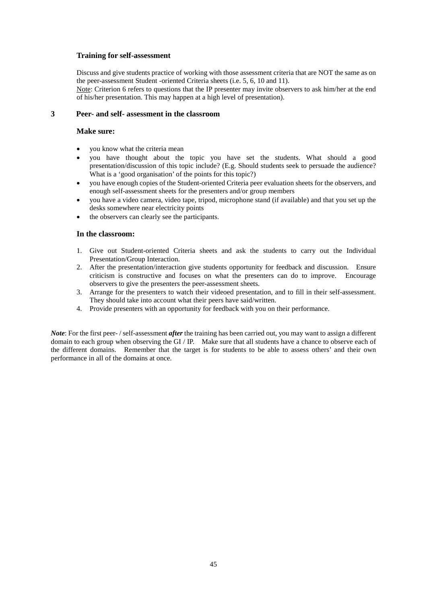### **Training for self-assessment**

Discuss and give students practice of working with those assessment criteria that are NOT the same as on the peer-assessment Student -oriented Criteria sheets (i.e. 5, 6, 10 and 11).

Note: Criterion 6 refers to questions that the IP presenter may invite observers to ask him/her at the end of his/her presentation. This may happen at a high level of presentation).

### **3 Peer- and self- assessment in the classroom**

#### **Make sure:**

- you know what the criteria mean
- you have thought about the topic you have set the students. What should a good presentation/discussion of this topic include? (E.g. Should students seek to persuade the audience? What is a 'good organisation' of the points for this topic?)
- you have enough copies of the Student-oriented Criteria peer evaluation sheets for the observers, and enough self-assessment sheets for the presenters and/or group members
- you have a video camera, video tape, tripod, microphone stand (if available) and that you set up the desks somewhere near electricity points
- the observers can clearly see the participants.

#### **In the classroom:**

- 1. Give out Student-oriented Criteria sheets and ask the students to carry out the Individual Presentation/Group Interaction.
- 2. After the presentation/interaction give students opportunity for feedback and discussion. Ensure criticism is constructive and focuses on what the presenters can do to improve. Encourage observers to give the presenters the peer-assessment sheets.
- 3. Arrange for the presenters to watch their videoed presentation, and to fill in their self-assessment. They should take into account what their peers have said/written.
- 4. Provide presenters with an opportunity for feedback with you on their performance.

*Note*: For the first peer- / self-assessment *after* the training has been carried out, you may want to assign a different domain to each group when observing the GI / IP. Make sure that all students have a chance to observe each of the different domains. Remember that the target is for students to be able to assess others' and their own performance in all of the domains at once.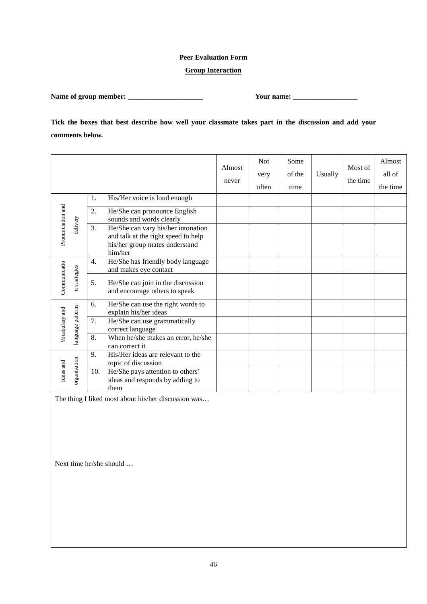# **Peer Evaluation Form**

### **Group Interaction**

**Name of group member: \_\_\_\_\_\_\_\_\_\_\_\_\_\_\_\_\_\_\_\_\_ Your name: \_\_\_\_\_\_\_\_\_\_\_\_\_\_\_\_\_\_**

**Tick the boxes that best describe how well your classmate takes part in the discussion and add your comments below.**

|                               |                  |     |                                                                                                                        | Almost<br>never | <b>Not</b><br>very<br>often | Some<br>of the<br>time | Usually | Most of<br>the time | Almost<br>all of<br>the time |
|-------------------------------|------------------|-----|------------------------------------------------------------------------------------------------------------------------|-----------------|-----------------------------|------------------------|---------|---------------------|------------------------------|
|                               |                  | 1.  | His/Her voice is loud enough                                                                                           |                 |                             |                        |         |                     |                              |
|                               |                  | 2.  | He/She can pronounce English<br>sounds and words clearly                                                               |                 |                             |                        |         |                     |                              |
| Pronunciation and<br>delivery |                  | 3.  | He/She can vary his/her intonation<br>and talk at the right speed to help<br>his/her group mates understand<br>him/her |                 |                             |                        |         |                     |                              |
|                               |                  | 4.  | He/She has friendly body language<br>and makes eye contact                                                             |                 |                             |                        |         |                     |                              |
| Communicatio                  | strategies       | 5.  | He/She can join in the discussion<br>and encourage others to speak                                                     |                 |                             |                        |         |                     |                              |
|                               |                  | 6.  | He/She can use the right words to<br>explain his/her ideas                                                             |                 |                             |                        |         |                     |                              |
| Vocabulary and                | anguage patterns | 7.  | He/She can use grammatically<br>correct language                                                                       |                 |                             |                        |         |                     |                              |
|                               |                  | 8.  | When he/she makes an error, he/she<br>can correct it                                                                   |                 |                             |                        |         |                     |                              |
|                               |                  | 9.  | His/Her ideas are relevant to the<br>topic of discussion                                                               |                 |                             |                        |         |                     |                              |
| Ideas and                     | organisation     | 10. | He/She pays attention to others'<br>ideas and responds by adding to<br>them                                            |                 |                             |                        |         |                     |                              |

The thing I liked most about his/her discussion was…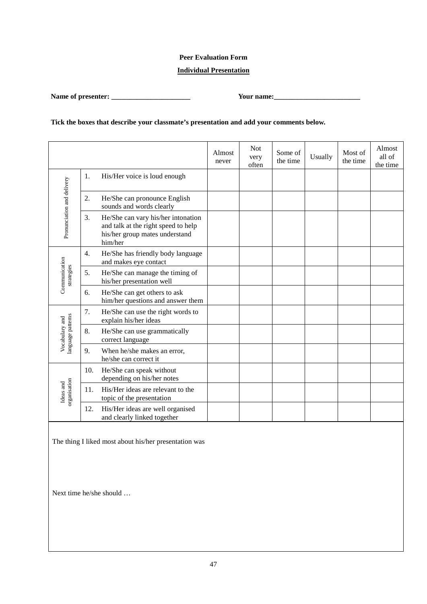# **Peer Evaluation Form**

# **Individual Presentation**

**Name of presenter: \_\_\_\_\_\_\_\_\_\_\_\_\_\_\_\_\_\_\_\_\_\_ Your name:\_\_\_\_\_\_\_\_\_\_\_\_\_\_\_\_\_\_\_\_\_\_\_\_**

# **Tick the boxes that describe your classmate's presentation and add your comments below.**

|                                     |     |                                                                                                                        | Almost<br>never | <b>Not</b><br>very<br>often | Some of<br>the time | Usually | Most of<br>the time | Almost<br>all of<br>the time |
|-------------------------------------|-----|------------------------------------------------------------------------------------------------------------------------|-----------------|-----------------------------|---------------------|---------|---------------------|------------------------------|
|                                     | 1.  | His/Her voice is loud enough                                                                                           |                 |                             |                     |         |                     |                              |
|                                     | 2.  | He/She can pronounce English<br>sounds and words clearly                                                               |                 |                             |                     |         |                     |                              |
| Pronunciation and delivery          | 3.  | He/She can vary his/her intonation<br>and talk at the right speed to help<br>his/her group mates understand<br>him/her |                 |                             |                     |         |                     |                              |
|                                     | 4.  | He/She has friendly body language<br>and makes eye contact                                                             |                 |                             |                     |         |                     |                              |
| Communication<br>strategies         | 5.  | He/She can manage the timing of<br>his/her presentation well                                                           |                 |                             |                     |         |                     |                              |
|                                     | 6.  | He/She can get others to ask<br>him/her questions and answer them                                                      |                 |                             |                     |         |                     |                              |
|                                     | 7.  | He/She can use the right words to<br>explain his/her ideas                                                             |                 |                             |                     |         |                     |                              |
| language patterns<br>Vocabulary and | 8.  | He/She can use grammatically<br>correct language                                                                       |                 |                             |                     |         |                     |                              |
|                                     | 9.  | When he/she makes an error,<br>he/she can correct it                                                                   |                 |                             |                     |         |                     |                              |
|                                     | 10. | He/She can speak without<br>depending on his/her notes                                                                 |                 |                             |                     |         |                     |                              |
| organisation<br>Ideas and           | 11. | His/Her ideas are relevant to the<br>topic of the presentation                                                         |                 |                             |                     |         |                     |                              |
|                                     | 12. | His/Her ideas are well organised<br>and clearly linked together                                                        |                 |                             |                     |         |                     |                              |

The thing I liked most about his/her presentation was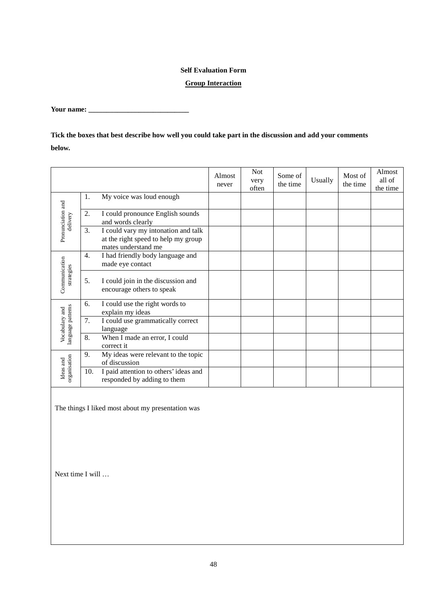## **Self Evaluation Form**

### **Group Interaction**

**Your name: \_\_\_\_\_\_\_\_\_\_\_\_\_\_\_\_\_\_\_\_\_\_\_\_\_\_\_\_**

**Tick the boxes that best describe how well you could take part in the discussion and add your comments below.**

|                                     |                  |                                                                                                   | Almost<br>never | <b>Not</b><br>very<br>often | Some of<br>the time | Usually | Most of<br>the time | Almost<br>all of<br>the time |
|-------------------------------------|------------------|---------------------------------------------------------------------------------------------------|-----------------|-----------------------------|---------------------|---------|---------------------|------------------------------|
|                                     | 1.               | My voice was loud enough                                                                          |                 |                             |                     |         |                     |                              |
| delivery                            | 2.               | I could pronounce English sounds<br>and words clearly                                             |                 |                             |                     |         |                     |                              |
| Pronunciation and                   | 3.               | I could vary my intonation and talk<br>at the right speed to help my group<br>mates understand me |                 |                             |                     |         |                     |                              |
|                                     | $\overline{4}$ . | I had friendly body language and<br>made eye contact                                              |                 |                             |                     |         |                     |                              |
| Communication<br>strategies         | 5.               | I could join in the discussion and<br>encourage others to speak                                   |                 |                             |                     |         |                     |                              |
|                                     | 6.               | I could use the right words to<br>explain my ideas                                                |                 |                             |                     |         |                     |                              |
| language patterns<br>Vocabulary and | 7.               | I could use grammatically correct<br>language                                                     |                 |                             |                     |         |                     |                              |
|                                     | 8.               | When I made an error, I could<br>correct it                                                       |                 |                             |                     |         |                     |                              |
| organisation<br>Ideas and           | 9.               | My ideas were relevant to the topic<br>of discussion                                              |                 |                             |                     |         |                     |                              |
|                                     | 10.              | I paid attention to others' ideas and<br>responded by adding to them                              |                 |                             |                     |         |                     |                              |

The things I liked most about my presentation was

Next time I will …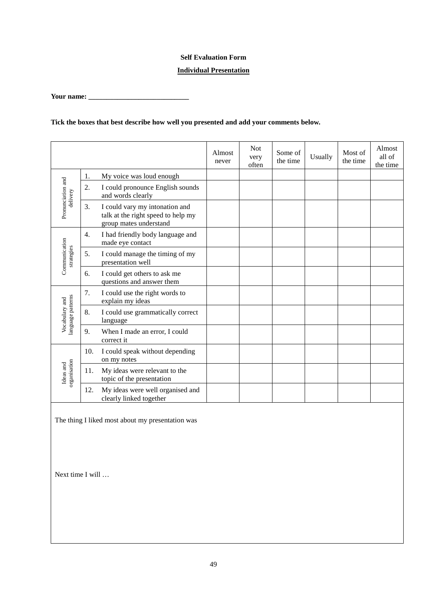### **Self Evaluation Form**

### **Individual Presentation**

**Your name: \_\_\_\_\_\_\_\_\_\_\_\_\_\_\_\_\_\_\_\_\_\_\_\_\_\_\_\_**

# **Tick the boxes that best describe how well you presented and add your comments below.**

|                                    |     |                                                                                                | Almost<br>never | <b>Not</b><br>very<br>often | Some of<br>the time | Usually | Most of<br>the time | Almost<br>all of<br>the time |
|------------------------------------|-----|------------------------------------------------------------------------------------------------|-----------------|-----------------------------|---------------------|---------|---------------------|------------------------------|
|                                    | 1.  | My voice was loud enough                                                                       |                 |                             |                     |         |                     |                              |
| Pronunciation and<br>delivery      | 2.  | I could pronounce English sounds<br>and words clearly                                          |                 |                             |                     |         |                     |                              |
|                                    | 3.  | I could vary my intonation and<br>talk at the right speed to help my<br>group mates understand |                 |                             |                     |         |                     |                              |
|                                    | 4.  | I had friendly body language and<br>made eye contact                                           |                 |                             |                     |         |                     |                              |
| Communication<br>strategies        | 5.  | I could manage the timing of my<br>presentation well                                           |                 |                             |                     |         |                     |                              |
|                                    | 6.  | I could get others to ask me<br>questions and answer them                                      |                 |                             |                     |         |                     |                              |
|                                    | 7.  | I could use the right words to<br>explain my ideas                                             |                 |                             |                     |         |                     |                              |
| anguage patterns<br>Vocabulary and | 8.  | I could use grammatically correct<br>language                                                  |                 |                             |                     |         |                     |                              |
|                                    | 9.  | When I made an error, I could<br>correct it                                                    |                 |                             |                     |         |                     |                              |
| organisation<br>Ideas and          | 10. | I could speak without depending<br>on my notes                                                 |                 |                             |                     |         |                     |                              |
|                                    | 11. | My ideas were relevant to the<br>topic of the presentation                                     |                 |                             |                     |         |                     |                              |
|                                    | 12. | My ideas were well organised and<br>clearly linked together                                    |                 |                             |                     |         |                     |                              |

The thing I liked most about my presentation was

Next time I will …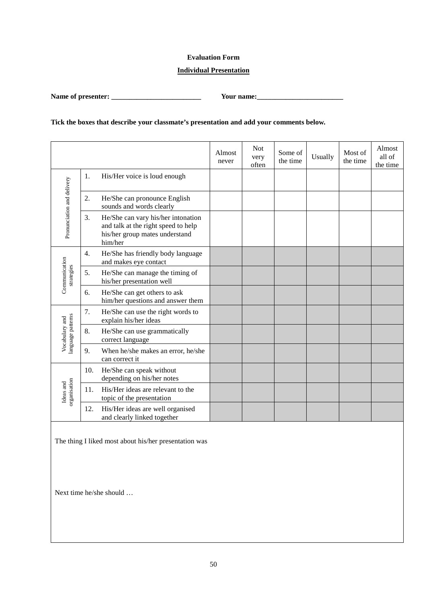### **Evaluation Form**

### **Individual Presentation**

**Name of presenter: \_\_\_\_\_\_\_\_\_\_\_\_\_\_\_\_\_\_\_\_\_\_\_\_\_ Your name:\_\_\_\_\_\_\_\_\_\_\_\_\_\_\_\_\_\_\_\_\_\_\_\_**

# **Tick the boxes that describe your classmate's presentation and add your comments below.**

|                                    |     |                                                                                                                        | Almost<br>never | <b>Not</b><br>very<br>often | Some of<br>the time | Usually | Most of<br>the time | Almost<br>all of<br>the time |
|------------------------------------|-----|------------------------------------------------------------------------------------------------------------------------|-----------------|-----------------------------|---------------------|---------|---------------------|------------------------------|
|                                    | 1.  | His/Her voice is loud enough                                                                                           |                 |                             |                     |         |                     |                              |
|                                    | 2.  | He/She can pronounce English<br>sounds and words clearly                                                               |                 |                             |                     |         |                     |                              |
| Pronunciation and delivery         | 3.  | He/She can vary his/her intonation<br>and talk at the right speed to help<br>his/her group mates understand<br>him/her |                 |                             |                     |         |                     |                              |
|                                    | 4.  | He/She has friendly body language<br>and makes eye contact                                                             |                 |                             |                     |         |                     |                              |
| Communication<br>strategies        | 5.  | He/She can manage the timing of<br>his/her presentation well                                                           |                 |                             |                     |         |                     |                              |
|                                    | 6.  | He/She can get others to ask<br>him/her questions and answer them                                                      |                 |                             |                     |         |                     |                              |
|                                    | 7.  | He/She can use the right words to<br>explain his/her ideas                                                             |                 |                             |                     |         |                     |                              |
| anguage patterns<br>Vocabulary and | 8.  | He/She can use grammatically<br>correct language                                                                       |                 |                             |                     |         |                     |                              |
|                                    | 9.  | When he/she makes an error, he/she<br>can correct it                                                                   |                 |                             |                     |         |                     |                              |
| organisation<br>Ideas and          | 10. | He/She can speak without<br>depending on his/her notes                                                                 |                 |                             |                     |         |                     |                              |
|                                    | 11. | His/Her ideas are relevant to the<br>topic of the presentation                                                         |                 |                             |                     |         |                     |                              |
|                                    | 12. | His/Her ideas are well organised<br>and clearly linked together                                                        |                 |                             |                     |         |                     |                              |

The thing I liked most about his/her presentation was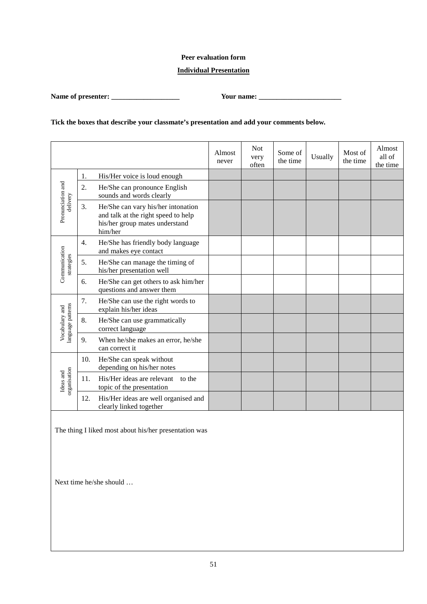### **Peer evaluation form**

### **Individual Presentation**

**Name of presenter: \_\_\_\_\_\_\_\_\_\_\_\_\_\_\_\_\_\_\_ Your name: \_\_\_\_\_\_\_\_\_\_\_\_\_\_\_\_\_\_\_\_\_\_\_**

# **Tick the boxes that describe your classmate's presentation and add your comments below.**

|                                     |     |                                                                                                                        | Almost<br>never | <b>Not</b><br>very<br>often | Some of<br>the time | Usually | Most of<br>the time | Almost<br>all of<br>the time |
|-------------------------------------|-----|------------------------------------------------------------------------------------------------------------------------|-----------------|-----------------------------|---------------------|---------|---------------------|------------------------------|
|                                     | 1.  | His/Her voice is loud enough                                                                                           |                 |                             |                     |         |                     |                              |
|                                     | 2.  | He/She can pronounce English<br>sounds and words clearly                                                               |                 |                             |                     |         |                     |                              |
| Pronunciation and<br>delivery       | 3.  | He/She can vary his/her intonation<br>and talk at the right speed to help<br>his/her group mates understand<br>him/her |                 |                             |                     |         |                     |                              |
|                                     | 4.  | He/She has friendly body language<br>and makes eye contact                                                             |                 |                             |                     |         |                     |                              |
| Communication<br>strategies         | 5.  | He/She can manage the timing of<br>his/her presentation well                                                           |                 |                             |                     |         |                     |                              |
|                                     | 6.  | He/She can get others to ask him/her<br>questions and answer them                                                      |                 |                             |                     |         |                     |                              |
|                                     | 7.  | He/She can use the right words to<br>explain his/her ideas                                                             |                 |                             |                     |         |                     |                              |
| language patterns<br>Vocabulary and | 8.  | He/She can use grammatically<br>correct language                                                                       |                 |                             |                     |         |                     |                              |
|                                     | 9.  | When he/she makes an error, he/she<br>can correct it                                                                   |                 |                             |                     |         |                     |                              |
| organisation<br>Ideas and           | 10. | He/She can speak without<br>depending on his/her notes                                                                 |                 |                             |                     |         |                     |                              |
|                                     | 11. | His/Her ideas are relevant<br>to the<br>topic of the presentation                                                      |                 |                             |                     |         |                     |                              |
|                                     | 12. | His/Her ideas are well organised and<br>clearly linked together                                                        |                 |                             |                     |         |                     |                              |

The thing I liked most about his/her presentation was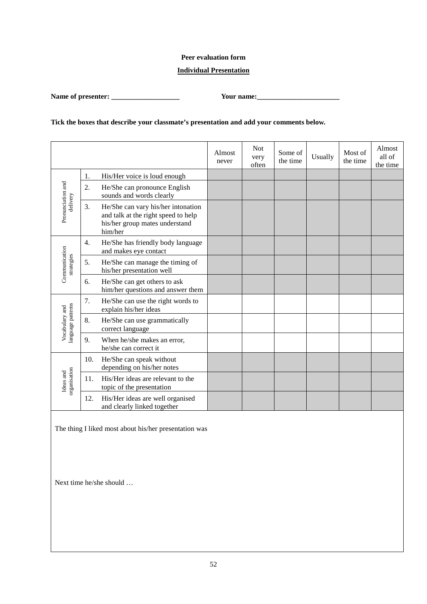### **Peer evaluation form**

### **Individual Presentation**

**Name of presenter: \_\_\_\_\_\_\_\_\_\_\_\_\_\_\_\_\_\_\_ Your name:\_\_\_\_\_\_\_\_\_\_\_\_\_\_\_\_\_\_\_\_\_\_\_**

# **Tick the boxes that describe your classmate's presentation and add your comments below.**

|                                    |     |                                                                                                                        | Almost<br>never | <b>Not</b><br>very<br>often | Some of<br>the time | Usually | Most of<br>the time | Almost<br>all of<br>the time |
|------------------------------------|-----|------------------------------------------------------------------------------------------------------------------------|-----------------|-----------------------------|---------------------|---------|---------------------|------------------------------|
|                                    | 1.  | His/Her voice is loud enough                                                                                           |                 |                             |                     |         |                     |                              |
| Pronunciation and<br>delivery      | 2.  | He/She can pronounce English<br>sounds and words clearly                                                               |                 |                             |                     |         |                     |                              |
|                                    | 3.  | He/She can vary his/her intonation<br>and talk at the right speed to help<br>his/her group mates understand<br>him/her |                 |                             |                     |         |                     |                              |
|                                    | 4.  | He/She has friendly body language<br>and makes eye contact                                                             |                 |                             |                     |         |                     |                              |
| Communication<br>strategies        | 5.  | He/She can manage the timing of<br>his/her presentation well                                                           |                 |                             |                     |         |                     |                              |
|                                    | 6.  | He/She can get others to ask<br>him/her questions and answer them                                                      |                 |                             |                     |         |                     |                              |
|                                    | 7.  | He/She can use the right words to<br>explain his/her ideas                                                             |                 |                             |                     |         |                     |                              |
| anguage patterns<br>Vocabulary and | 8.  | He/She can use grammatically<br>correct language                                                                       |                 |                             |                     |         |                     |                              |
|                                    | 9.  | When he/she makes an error,<br>he/she can correct it                                                                   |                 |                             |                     |         |                     |                              |
| organisation<br>Ideas and          | 10. | He/She can speak without<br>depending on his/her notes                                                                 |                 |                             |                     |         |                     |                              |
|                                    | 11. | His/Her ideas are relevant to the<br>topic of the presentation                                                         |                 |                             |                     |         |                     |                              |
|                                    | 12. | His/Her ideas are well organised<br>and clearly linked together                                                        |                 |                             |                     |         |                     |                              |

The thing I liked most about his/her presentation was